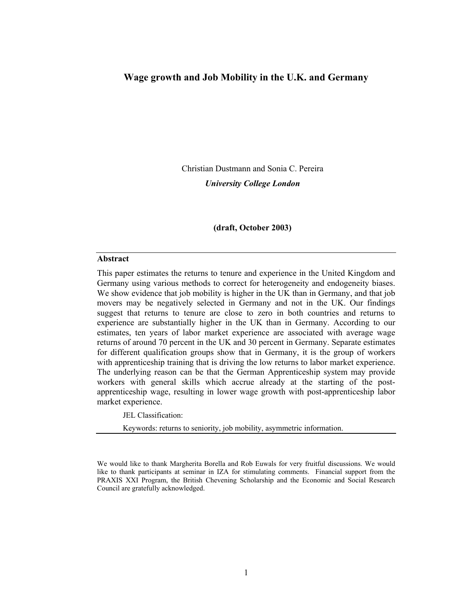# **Wage growth and Job Mobility in the U.K. and Germany**

Christian Dustmann and Sonia C. Pereira

*University College London* 

**(draft, October 2003)** 

#### **Abstract**

This paper estimates the returns to tenure and experience in the United Kingdom and Germany using various methods to correct for heterogeneity and endogeneity biases. We show evidence that job mobility is higher in the UK than in Germany, and that job movers may be negatively selected in Germany and not in the UK. Our findings suggest that returns to tenure are close to zero in both countries and returns to experience are substantially higher in the UK than in Germany. According to our estimates, ten years of labor market experience are associated with average wage returns of around 70 percent in the UK and 30 percent in Germany. Separate estimates for different qualification groups show that in Germany, it is the group of workers with apprenticeship training that is driving the low returns to labor market experience. The underlying reason can be that the German Apprenticeship system may provide workers with general skills which accrue already at the starting of the postapprenticeship wage, resulting in lower wage growth with post-apprenticeship labor market experience.

JEL Classification:

Keywords: returns to seniority, job mobility, asymmetric information.

We would like to thank Margherita Borella and Rob Euwals for very fruitful discussions. We would like to thank participants at seminar in IZA for stimulating comments. Financial support from the PRAXIS XXI Program, the British Chevening Scholarship and the Economic and Social Research Council are gratefully acknowledged.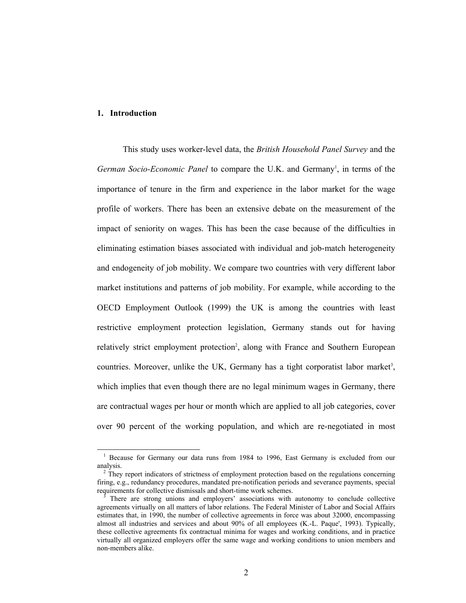# **1. Introduction**

This study uses worker-level data, the *British Household Panel Survey* and the German Socio-Economic Panel to compare the U.K. and Germany<sup>1</sup>, in terms of the importance of tenure in the firm and experience in the labor market for the wage profile of workers. There has been an extensive debate on the measurement of the impact of seniority on wages. This has been the case because of the difficulties in eliminating estimation biases associated with individual and job-match heterogeneity and endogeneity of job mobility. We compare two countries with very different labor market institutions and patterns of job mobility. For example, while according to the OECD Employment Outlook (1999) the UK is among the countries with least restrictive employment protection legislation, Germany stands out for having relatively strict employment protection<sup>2</sup>, along with France and Southern European countries. Moreover, unlike the UK, Germany has a tight corporatist labor market<sup>3</sup>, which implies that even though there are no legal minimum wages in Germany, there are contractual wages per hour or month which are applied to all job categories, cover over 90 percent of the working population, and which are re-negotiated in most

<sup>&</sup>lt;sup>1</sup> Because for Germany our data runs from 1984 to 1996, East Germany is excluded from our analysis. 2

<sup>&</sup>lt;sup>2</sup> They report indicators of strictness of employment protection based on the regulations concerning firing, e.g., redundancy procedures, mandated pre-notification periods and severance payments, special requirements for collective dismissals and short-time work schemes.

There are strong unions and employers' associations with autonomy to conclude collective agreements virtually on all matters of labor relations. The Federal Minister of Labor and Social Affairs estimates that, in 1990, the number of collective agreements in force was about 32000, encompassing almost all industries and services and about 90% of all employees (K.-L. Paque', 1993). Typically, these collective agreements fix contractual minima for wages and working conditions, and in practice virtually all organized employers offer the same wage and working conditions to union members and non-members alike.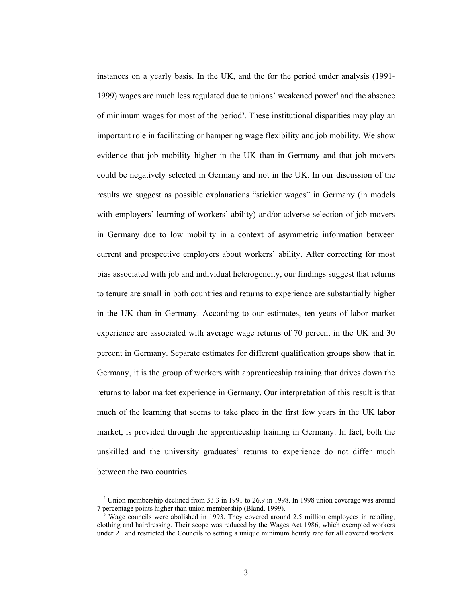instances on a yearly basis. In the UK, and the for the period under analysis (1991- 1999) wages are much less regulated due to unions' weakened power<sup>4</sup> and the absence of minimum wages for most of the period<sup>5</sup>. These institutional disparities may play an important role in facilitating or hampering wage flexibility and job mobility. We show evidence that job mobility higher in the UK than in Germany and that job movers could be negatively selected in Germany and not in the UK. In our discussion of the results we suggest as possible explanations "stickier wages" in Germany (in models with employers' learning of workers' ability) and/or adverse selection of job movers in Germany due to low mobility in a context of asymmetric information between current and prospective employers about workers' ability. After correcting for most bias associated with job and individual heterogeneity, our findings suggest that returns to tenure are small in both countries and returns to experience are substantially higher in the UK than in Germany. According to our estimates, ten years of labor market experience are associated with average wage returns of 70 percent in the UK and 30 percent in Germany. Separate estimates for different qualification groups show that in Germany, it is the group of workers with apprenticeship training that drives down the returns to labor market experience in Germany. Our interpretation of this result is that much of the learning that seems to take place in the first few years in the UK labor market, is provided through the apprenticeship training in Germany. In fact, both the unskilled and the university graduates' returns to experience do not differ much between the two countries.

 <sup>4</sup> Union membership declined from 33.3 in 1991 to 26.9 in 1998. In 1998 union coverage was around 7 percentage points higher than union membership (Bland, 1999).

Wage councils were abolished in 1993. They covered around 2.5 million employees in retailing, clothing and hairdressing. Their scope was reduced by the Wages Act 1986, which exempted workers under 21 and restricted the Councils to setting a unique minimum hourly rate for all covered workers.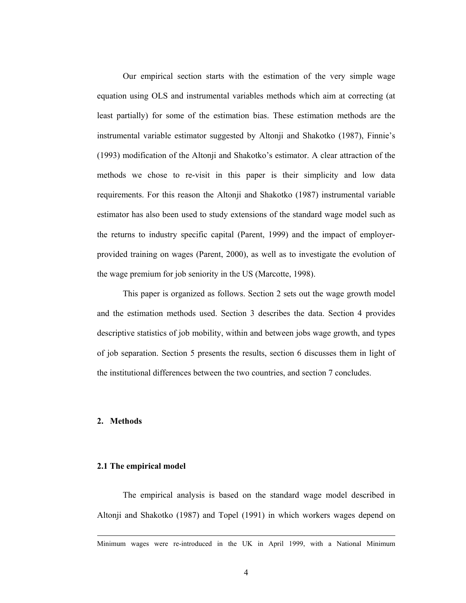Our empirical section starts with the estimation of the very simple wage equation using OLS and instrumental variables methods which aim at correcting (at least partially) for some of the estimation bias. These estimation methods are the instrumental variable estimator suggested by Altonji and Shakotko (1987), Finnie's (1993) modification of the Altonji and Shakotko's estimator. A clear attraction of the methods we chose to re-visit in this paper is their simplicity and low data requirements. For this reason the Altonji and Shakotko (1987) instrumental variable estimator has also been used to study extensions of the standard wage model such as the returns to industry specific capital (Parent, 1999) and the impact of employerprovided training on wages (Parent, 2000), as well as to investigate the evolution of the wage premium for job seniority in the US (Marcotte, 1998).

This paper is organized as follows. Section 2 sets out the wage growth model and the estimation methods used. Section 3 describes the data. Section 4 provides descriptive statistics of job mobility, within and between jobs wage growth, and types of job separation. Section 5 presents the results, section 6 discusses them in light of the institutional differences between the two countries, and section 7 concludes.

#### **2. Methods**

#### **2.1 The empirical model**

The empirical analysis is based on the standard wage model described in Altonji and Shakotko (1987) and Topel (1991) in which workers wages depend on

Minimum wages were re-introduced in the UK in April 1999, with a National Minimum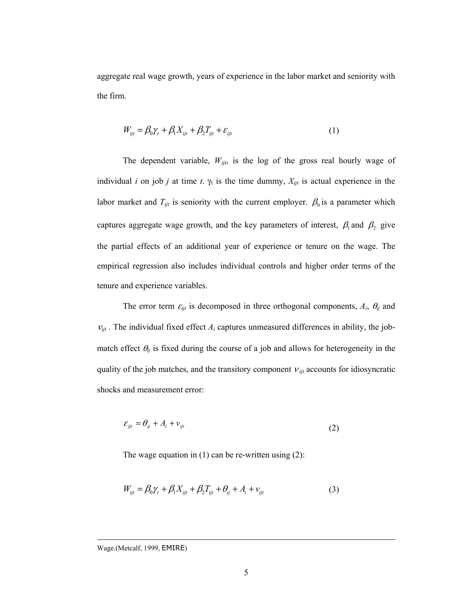aggregate real wage growth, years of experience in the labor market and seniority with the firm.

$$
W_{ijt} = \beta_0 \gamma_t + \beta_1 X_{ijt} + \beta_2 T_{ijt} + \varepsilon_{ijt}
$$
 (1)

The dependent variable,  $W_{ijt}$ , is the log of the gross real hourly wage of individual *i* on job *j* at time *t*.  $\gamma_t$  is the time dummy,  $X_{ijt}$  is actual experience in the labor market and  $T_{ijt}$  is seniority with the current employer.  $\beta_0$  is a parameter which captures aggregate wage growth, and the key parameters of interest,  $\beta_1$  and  $\beta_2$  give the partial effects of an additional year of experience or tenure on the wage. The empirical regression also includes individual controls and higher order terms of the tenure and experience variables.

The error term  $\varepsilon_{ijt}$  is decomposed in three orthogonal components,  $A_i$ ,  $\theta_{ij}$  and  $v_{ijt}$ . The individual fixed effect  $A_i$  captures unmeasured differences in ability, the jobmatch effect  $\theta_{ij}$  is fixed during the course of a job and allows for heterogeneity in the quality of the job matches, and the transitory component  $v_{ijt}$  accounts for idiosyncratic shocks and measurement error:

$$
\varepsilon_{ijt} = \theta_{ij} + A_i + v_{ijt} \tag{2}
$$

The wage equation in  $(1)$  can be re-written using  $(2)$ :

$$
W_{ijt} = \beta_0 \gamma_t + \beta_1 X_{ijt} + \beta_2 T_{ijt} + \theta_{ij} + A_i + v_{ijt}
$$
 (3)

Wage.(Metcalf, 1999, EMIRE)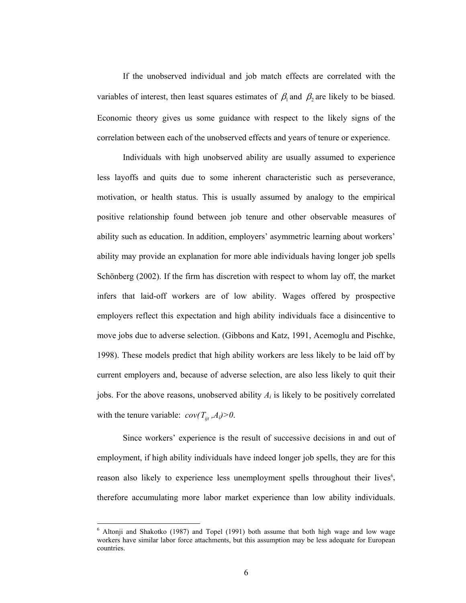If the unobserved individual and job match effects are correlated with the variables of interest, then least squares estimates of  $\beta_1$  and  $\beta_2$  are likely to be biased. Economic theory gives us some guidance with respect to the likely signs of the correlation between each of the unobserved effects and years of tenure or experience.

Individuals with high unobserved ability are usually assumed to experience less layoffs and quits due to some inherent characteristic such as perseverance, motivation, or health status. This is usually assumed by analogy to the empirical positive relationship found between job tenure and other observable measures of ability such as education. In addition, employers' asymmetric learning about workers' ability may provide an explanation for more able individuals having longer job spells Schönberg (2002). If the firm has discretion with respect to whom lay off, the market infers that laid-off workers are of low ability. Wages offered by prospective employers reflect this expectation and high ability individuals face a disincentive to move jobs due to adverse selection. (Gibbons and Katz, 1991, Acemoglu and Pischke, 1998). These models predict that high ability workers are less likely to be laid off by current employers and, because of adverse selection, are also less likely to quit their jobs. For the above reasons, unobserved ability *Ai* is likely to be positively correlated with the tenure variable:  $cov(T_{ii}, A_i) > 0$ .

Since workers' experience is the result of successive decisions in and out of employment, if high ability individuals have indeed longer job spells, they are for this reason also likely to experience less unemployment spells throughout their lives<sup>6</sup>, therefore accumulating more labor market experience than low ability individuals.

<sup>&</sup>lt;sup>6</sup> Altonji and Shakotko (1987) and Topel (1991) both assume that both high wage and low wage workers have similar labor force attachments, but this assumption may be less adequate for European countries.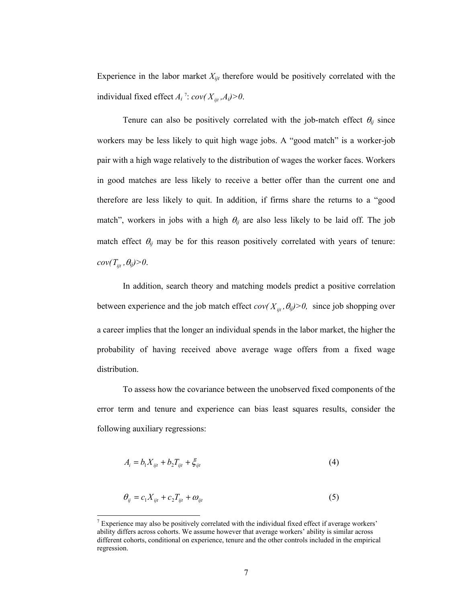Experience in the labor market  $X_{ijt}$  therefore would be positively correlated with the individual fixed effect  $A_i$ <sup>7</sup>:  $cov(X_{ijt}, A_i) > 0$ .

Tenure can also be positively correlated with the job-match effect  $\theta_{ij}$  since workers may be less likely to quit high wage jobs. A "good match" is a worker-job pair with a high wage relatively to the distribution of wages the worker faces. Workers in good matches are less likely to receive a better offer than the current one and therefore are less likely to quit. In addition, if firms share the returns to a "good match", workers in jobs with a high  $\theta_{ij}$  are also less likely to be laid off. The job match effect  $\theta_{ij}$  may be for this reason positively correlated with years of tenure:  $cov(T_{ijt}, \theta_{ij})>0.$ 

In addition, search theory and matching models predict a positive correlation between experience and the job match effect  $cov(X_{ijt}, \theta_{ij}) > 0$ , since job shopping over a career implies that the longer an individual spends in the labor market, the higher the probability of having received above average wage offers from a fixed wage distribution.

To assess how the covariance between the unobserved fixed components of the error term and tenure and experience can bias least squares results, consider the following auxiliary regressions:

$$
A_i = b_1 X_{ijt} + b_2 T_{ijt} + \xi_{ijt}
$$
 (4)

$$
\theta_{ij} = c_1 X_{ijt} + c_2 T_{ijt} + \omega_{ijt} \tag{5}
$$

<sup>&</sup>lt;sup>7</sup> Experience may also be positively correlated with the individual fixed effect if average workers' ability differs across cohorts. We assume however that average workers' ability is similar across different cohorts, conditional on experience, tenure and the other controls included in the empirical regression.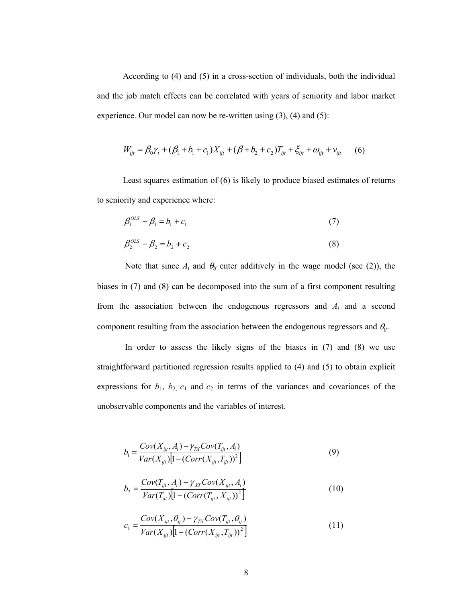According to (4) and (5) in a cross-section of individuals, both the individual and the job match effects can be correlated with years of seniority and labor market experience. Our model can now be re-written using (3), (4) and (5):

$$
W_{ijt} = \beta_0 \gamma_t + (\beta_1 + b_1 + c_1) X_{ijt} + (\beta + b_2 + c_2) T_{ijt} + \xi_{ijt} + \omega_{ijt} + \nu_{ijt} \tag{6}
$$

Least squares estimation of (6) is likely to produce biased estimates of returns to seniority and experience where:

$$
\beta_1^{OLS} - \beta_1 = b_1 + c_1 \tag{7}
$$

$$
\beta_2^{OLS} - \beta_2 = b_2 + c_2 \tag{8}
$$

Note that since  $A_i$  and  $\theta_{ij}$  enter additively in the wage model (see (2)), the biases in (7) and (8) can be decomposed into the sum of a first component resulting from the association between the endogenous regressors and *Ai* and a second component resulting from the association between the endogenous regressors and θ*ij*.

 In order to assess the likely signs of the biases in (7) and (8) we use straightforward partitioned regression results applied to (4) and (5) to obtain explicit expressions for  $b_1$ ,  $b_2$ ,  $c_1$  and  $c_2$  in terms of the variances and covariances of the unobservable components and the variables of interest.

$$
b_1 = \frac{Cov(X_{ijt}, A_i) - \gamma_{TX}Cov(T_{ijt}, A_i)}{Var(X_{ijt})[1 - (Corr(X_{ijt}, T_{ijt}))^2]}
$$
(9)

$$
b_2 = \frac{Cov(T_{ijt}, A_i) - \gamma_{XT}Cov(X_{ijt}, A_i)}{Var(T_{ijt})[1 - (Corr(T_{ijt}, X_{ijt}))^2]}
$$
(10)

$$
c_1 = \frac{Cov(X_{ijt}, \theta_{ij}) - \gamma_{TX}Cov(T_{ijt}, \theta_{ij})}{Var(X_{ijt})[1 - (Corr(X_{ijt}, T_{ijt}))^2]}
$$
(11)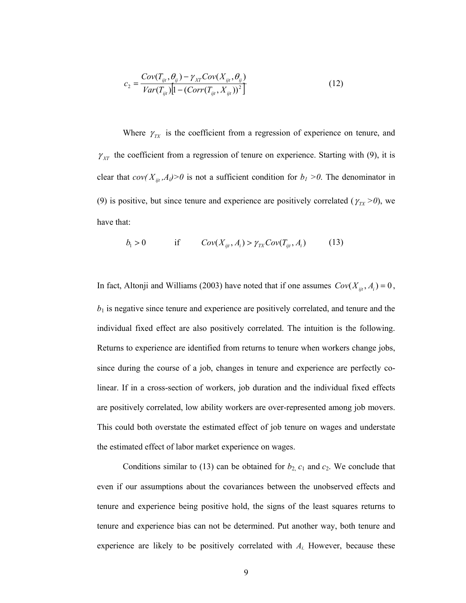$$
c_2 = \frac{Cov(T_{ijt}, \theta_{ij}) - \gamma_{XT}Cov(X_{ijt}, \theta_{ij})}{Var(T_{ijt})[1 - (Corr(T_{ijt}, X_{ijt}))^2]}
$$
(12)

Where  $\gamma_{TX}$  is the coefficient from a regression of experience on tenure, and  $\gamma_{XT}$  the coefficient from a regression of tenure on experience. Starting with (9), it is clear that  $cov(X_{ii}, A_i) > 0$  is not a sufficient condition for  $b_i > 0$ . The denominator in (9) is positive, but since tenure and experience are positively correlated ( $\gamma_{TX}$  >0), we have that:

$$
b_1 > 0 \qquad \qquad \text{if} \qquad Cov(X_{ijt}, A_i) > \gamma_{TX}Cov(T_{ijt}, A_i) \qquad \qquad (13)
$$

In fact, Altonji and Williams (2003) have noted that if one assumes  $Cov(X_{ijt}, A_i) = 0$ ,  $b<sub>1</sub>$  is negative since tenure and experience are positively correlated, and tenure and the individual fixed effect are also positively correlated. The intuition is the following. Returns to experience are identified from returns to tenure when workers change jobs, since during the course of a job, changes in tenure and experience are perfectly colinear. If in a cross-section of workers, job duration and the individual fixed effects are positively correlated, low ability workers are over-represented among job movers. This could both overstate the estimated effect of job tenure on wages and understate the estimated effect of labor market experience on wages.

Conditions similar to (13) can be obtained for  $b_2$ ,  $c_1$  and  $c_2$ . We conclude that even if our assumptions about the covariances between the unobserved effects and tenure and experience being positive hold, the signs of the least squares returns to tenure and experience bias can not be determined. Put another way, both tenure and experience are likely to be positively correlated with *Ai.* However, because these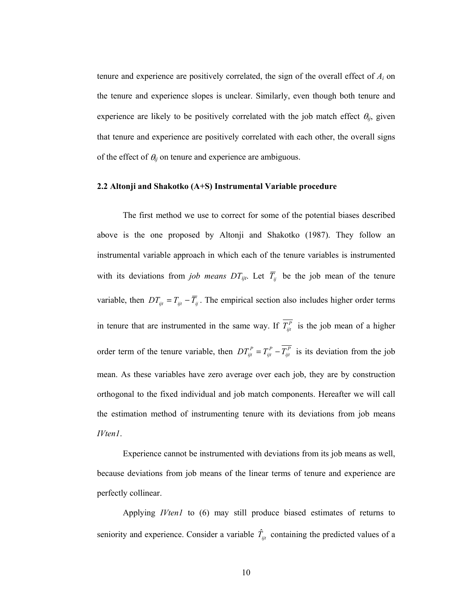tenure and experience are positively correlated, the sign of the overall effect of *Ai* on the tenure and experience slopes is unclear. Similarly, even though both tenure and experience are likely to be positively correlated with the job match effect  $\theta_{ij}$ , given that tenure and experience are positively correlated with each other, the overall signs of the effect of  $\theta_{ij}$  on tenure and experience are ambiguous.

#### **2.2 Altonji and Shakotko (A+S) Instrumental Variable procedure**

The first method we use to correct for some of the potential biases described above is the one proposed by Altonji and Shakotko (1987). They follow an instrumental variable approach in which each of the tenure variables is instrumented with its deviations from *job means DT<sub>ijt</sub>*. Let  $\overline{T}_{ij}$  be the job mean of the tenure variable, then  $DT_{ijt} = T_{ijt} - \overline{T}_{ij}$ . The empirical section also includes higher order terms in tenure that are instrumented in the same way. If  $\overline{T_{ii}^P}$  is the job mean of a higher order term of the tenure variable, then  $DT_{ijt}^P = T_{ijt}^P - T_{ijt}^P$  is its deviation from the job mean. As these variables have zero average over each job, they are by construction orthogonal to the fixed individual and job match components. Hereafter we will call the estimation method of instrumenting tenure with its deviations from job means *IVten1*.

Experience cannot be instrumented with deviations from its job means as well, because deviations from job means of the linear terms of tenure and experience are perfectly collinear.

Applying *IVten1* to (6) may still produce biased estimates of returns to seniority and experience. Consider a variable  $\hat{T}_{ijt}$  containing the predicted values of a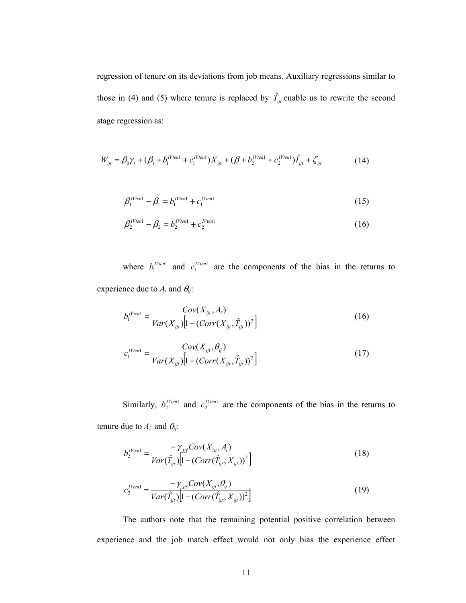regression of tenure on its deviations from job means. Auxiliary regressions similar to those in (4) and (5) where tenure is replaced by  $\hat{T}_{ijt}$  enable us to rewrite the second stage regression as:

$$
W_{ijt} = \beta_0 \gamma_t + (\beta_1 + b_1^{I V ten1} + c_1^{I V ten1}) X_{ijt} + (\beta + b_2^{I V ten1} + c_2^{I V ten1}) \hat{T}_{ijt} + \zeta_{ijt}
$$
(14)

$$
\beta_1^{I V ten 1} - \beta_1 = b_1^{I V ten 1} + c_1^{I V ten 1} \tag{15}
$$

$$
\beta_2^{IVten1} - \beta_2 = b_2^{IVten1} + c_2^{IVten1} \tag{16}
$$

where  $b_1^{IVien1}$  and  $c_1^{IVien1}$  are the components of the bias in the returns to experience due to  $A_i$  and  $\theta_{ij}$ :

$$
b_1^{I V ten 1} = \frac{Cov(X_{ijt}, A_i)}{Var(X_{ijt}) \left[1 - (Corr(X_{ijt}, \hat{T}_{ijt}))^2\right]}
$$
(16)

$$
c_1^{Nten1} = \frac{Cov(X_{ijt}, \theta_{ij})}{Var(X_{ijt})[1 - (Corr(X_{ijt}, \hat{T}_{ijt}))^2]}
$$
(17)

Similarly,  $b_2^{IVten1}$  and  $c_2^{IVten1}$  are the components of the bias in the returns to tenure due to  $A_i$  and  $\theta_{ij}$ :

$$
b_2^{T} = \frac{-\gamma_{\chi_i^*} Cov(X_{ij}, A_i)}{Var(\hat{T}_{ijt}) \left[1 - (Corr(\hat{T}_{ijt}, X_{ijt}))^2\right]}
$$
(18)

$$
c_2^{I V ten 1} = \frac{-\gamma_{\chi_t^2} Cov(X_{ij}, \theta_{ij})}{Var(\hat{T}_{ijt}) \left[1 - (Corr(\hat{T}_{ijt}, X_{ijt}))^2\right]}
$$
(19)

The authors note that the remaining potential positive correlation between experience and the job match effect would not only bias the experience effect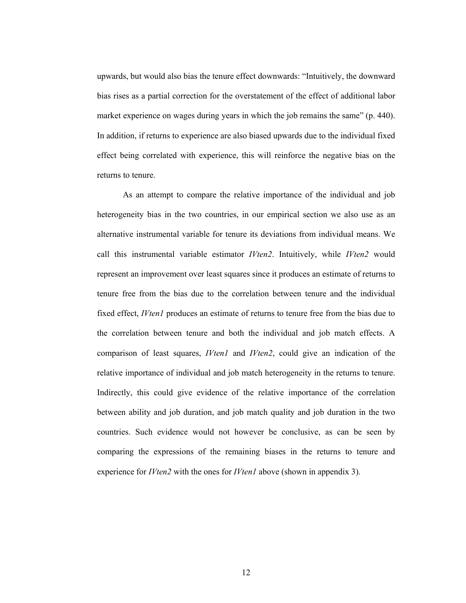upwards, but would also bias the tenure effect downwards: "Intuitively, the downward bias rises as a partial correction for the overstatement of the effect of additional labor market experience on wages during years in which the job remains the same" (p. 440). In addition, if returns to experience are also biased upwards due to the individual fixed effect being correlated with experience, this will reinforce the negative bias on the returns to tenure.

As an attempt to compare the relative importance of the individual and job heterogeneity bias in the two countries, in our empirical section we also use as an alternative instrumental variable for tenure its deviations from individual means. We call this instrumental variable estimator *IVten2*. Intuitively, while *IVten2* would represent an improvement over least squares since it produces an estimate of returns to tenure free from the bias due to the correlation between tenure and the individual fixed effect, *IVten1* produces an estimate of returns to tenure free from the bias due to the correlation between tenure and both the individual and job match effects. A comparison of least squares, *IVten1* and *IVten2*, could give an indication of the relative importance of individual and job match heterogeneity in the returns to tenure. Indirectly, this could give evidence of the relative importance of the correlation between ability and job duration, and job match quality and job duration in the two countries. Such evidence would not however be conclusive, as can be seen by comparing the expressions of the remaining biases in the returns to tenure and experience for *IVten2* with the ones for *IVten1* above (shown in appendix 3).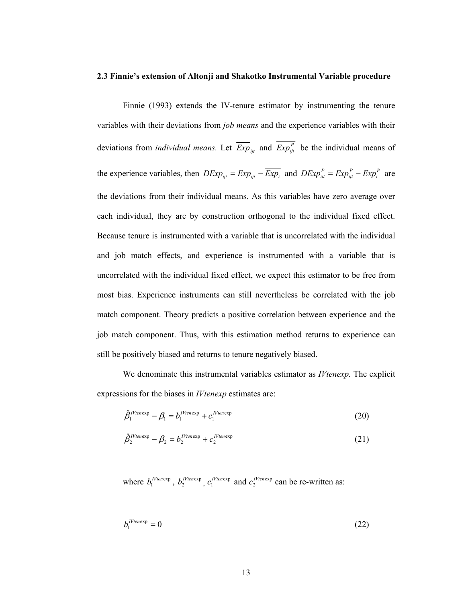#### **2.3 Finnie's extension of Altonji and Shakotko Instrumental Variable procedure**

Finnie (1993) extends the IV-tenure estimator by instrumenting the tenure variables with their deviations from *job means* and the experience variables with their deviations from *individual means.* Let  $\overline{Exp}_{ijt}$  and  $\overline{Exp}_{ijt}^P$  be the individual means of the experience variables, then  $DExp_{ijt} = Exp_{ijt} - \overline{Exp}_{it}$  and  $DExp_{ijt}^P = Exp_{it}^P - Exp_i^P$  are the deviations from their individual means. As this variables have zero average over each individual, they are by construction orthogonal to the individual fixed effect. Because tenure is instrumented with a variable that is uncorrelated with the individual and job match effects, and experience is instrumented with a variable that is uncorrelated with the individual fixed effect, we expect this estimator to be free from most bias. Experience instruments can still nevertheless be correlated with the job match component. Theory predicts a positive correlation between experience and the job match component. Thus, with this estimation method returns to experience can still be positively biased and returns to tenure negatively biased.

We denominate this instrumental variables estimator as *IVtenexp.* The explicit expressions for the biases in *IVtenexp* estimates are:

$$
\hat{\beta}_1^{IVienexp} - \beta_1 = b_1^{IVienexp} + c_1^{IVienexp} \tag{20}
$$

$$
\hat{\beta}_2^{\text{IVienexp}} - \beta_2 = b_2^{\text{IVienexp}} + c_2^{\text{IVenexp}} \tag{21}
$$

where  $b_1^{IVienexp}$ ,  $b_2^{IVienexp}$ ,  $c_1^{IVienexp}$  and  $c_2^{IVienexp}$  can be re-written as:

$$
b_1^{I\text{Ytenexp}} = 0 \tag{22}
$$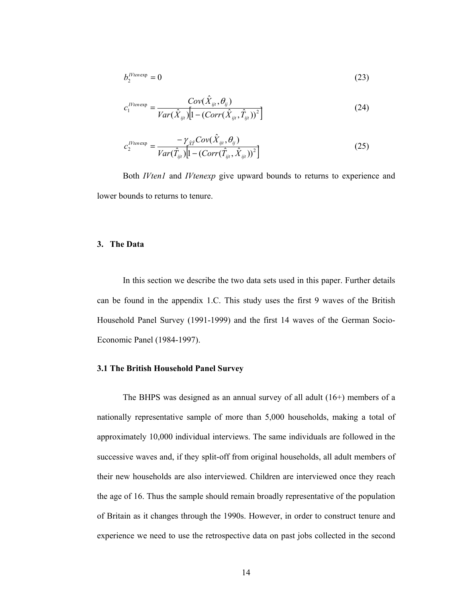$$
b_2^{I\text{Vtenexp}} = 0 \tag{23}
$$

$$
c_1^{Tten \exp} = \frac{Cov(\hat{X}_{ijt}, \theta_{ij})}{Var(\hat{X}_{ijt})[1 - (Corr(\hat{X}_{ijt}, \hat{T}_{ijt}))^2]}
$$
(24)

$$
c_2^{T\text{Hence}} = \frac{-\gamma_{\hat{X}\hat{T}}Cov(\hat{X}_{ijt}, \theta_{ij})}{Var(\hat{T}_{ijt})[1 - (Corr(\hat{T}_{ijt}, \hat{X}_{ijt}))^2]}
$$
(25)

Both *IVten1* and *IVtenexp* give upward bounds to returns to experience and lower bounds to returns to tenure.

#### **3. The Data**

In this section we describe the two data sets used in this paper. Further details can be found in the appendix 1.C. This study uses the first 9 waves of the British Household Panel Survey (1991-1999) and the first 14 waves of the German Socio-Economic Panel (1984-1997).

# **3.1 The British Household Panel Survey**

The BHPS was designed as an annual survey of all adult (16+) members of a nationally representative sample of more than 5,000 households, making a total of approximately 10,000 individual interviews. The same individuals are followed in the successive waves and, if they split-off from original households, all adult members of their new households are also interviewed. Children are interviewed once they reach the age of 16. Thus the sample should remain broadly representative of the population of Britain as it changes through the 1990s. However, in order to construct tenure and experience we need to use the retrospective data on past jobs collected in the second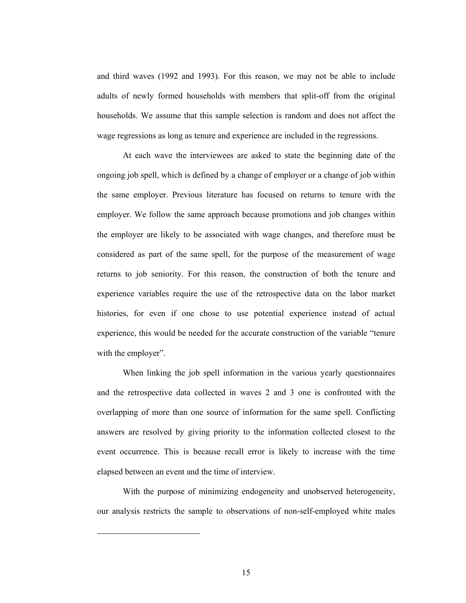and third waves (1992 and 1993). For this reason, we may not be able to include adults of newly formed households with members that split-off from the original households. We assume that this sample selection is random and does not affect the wage regressions as long as tenure and experience are included in the regressions.

At each wave the interviewees are asked to state the beginning date of the ongoing job spell, which is defined by a change of employer or a change of job within the same employer. Previous literature has focused on returns to tenure with the employer. We follow the same approach because promotions and job changes within the employer are likely to be associated with wage changes, and therefore must be considered as part of the same spell, for the purpose of the measurement of wage returns to job seniority. For this reason, the construction of both the tenure and experience variables require the use of the retrospective data on the labor market histories, for even if one chose to use potential experience instead of actual experience, this would be needed for the accurate construction of the variable "tenure with the employer".

When linking the job spell information in the various yearly questionnaires and the retrospective data collected in waves 2 and 3 one is confronted with the overlapping of more than one source of information for the same spell. Conflicting answers are resolved by giving priority to the information collected closest to the event occurrence. This is because recall error is likely to increase with the time elapsed between an event and the time of interview.

With the purpose of minimizing endogeneity and unobserved heterogeneity, our analysis restricts the sample to observations of non-self-employed white males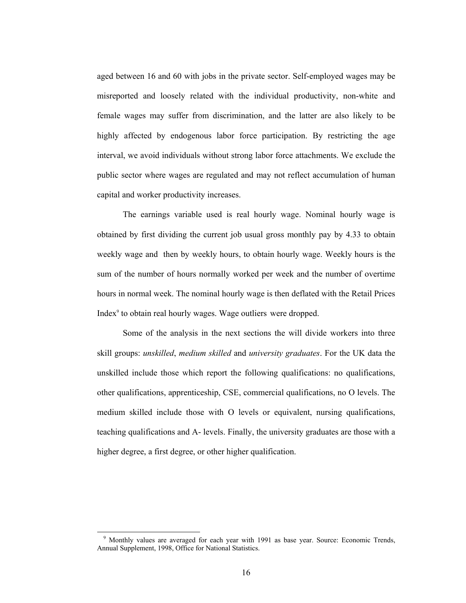aged between 16 and 60 with jobs in the private sector. Self-employed wages may be misreported and loosely related with the individual productivity, non-white and female wages may suffer from discrimination, and the latter are also likely to be highly affected by endogenous labor force participation. By restricting the age interval, we avoid individuals without strong labor force attachments. We exclude the public sector where wages are regulated and may not reflect accumulation of human capital and worker productivity increases.

The earnings variable used is real hourly wage. Nominal hourly wage is obtained by first dividing the current job usual gross monthly pay by 4.33 to obtain weekly wage and then by weekly hours, to obtain hourly wage. Weekly hours is the sum of the number of hours normally worked per week and the number of overtime hours in normal week. The nominal hourly wage is then deflated with the Retail Prices Index<sup>9</sup> to obtain real hourly wages. Wage outliers were dropped.

Some of the analysis in the next sections the will divide workers into three skill groups: *unskilled*, *medium skilled* and *university graduates*. For the UK data the unskilled include those which report the following qualifications: no qualifications, other qualifications, apprenticeship, CSE, commercial qualifications, no O levels. The medium skilled include those with O levels or equivalent, nursing qualifications, teaching qualifications and A- levels. Finally, the university graduates are those with a higher degree, a first degree, or other higher qualification.

 <sup>9</sup> Monthly values are averaged for each year with 1991 as base year. Source: Economic Trends, Annual Supplement, 1998, Office for National Statistics.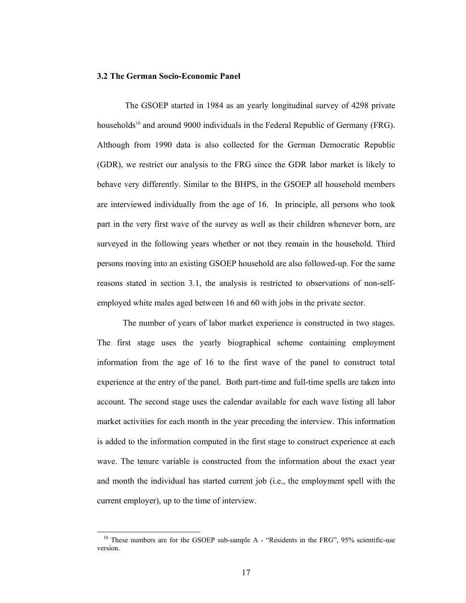#### **3.2 The German Socio-Economic Panel**

 The GSOEP started in 1984 as an yearly longitudinal survey of 4298 private households<sup>10</sup> and around 9000 individuals in the Federal Republic of Germany (FRG). Although from 1990 data is also collected for the German Democratic Republic (GDR), we restrict our analysis to the FRG since the GDR labor market is likely to behave very differently. Similar to the BHPS, in the GSOEP all household members are interviewed individually from the age of 16. In principle, all persons who took part in the very first wave of the survey as well as their children whenever born, are surveyed in the following years whether or not they remain in the household. Third persons moving into an existing GSOEP household are also followed-up. For the same reasons stated in section 3.1, the analysis is restricted to observations of non-selfemployed white males aged between 16 and 60 with jobs in the private sector.

The number of years of labor market experience is constructed in two stages. The first stage uses the yearly biographical scheme containing employment information from the age of 16 to the first wave of the panel to construct total experience at the entry of the panel. Both part-time and full-time spells are taken into account. The second stage uses the calendar available for each wave listing all labor market activities for each month in the year preceding the interview. This information is added to the information computed in the first stage to construct experience at each wave. The tenure variable is constructed from the information about the exact year and month the individual has started current job (i.e., the employment spell with the current employer), up to the time of interview.

 $10$  These numbers are for the GSOEP sub-sample A - "Residents in the FRG", 95% scientific-use version.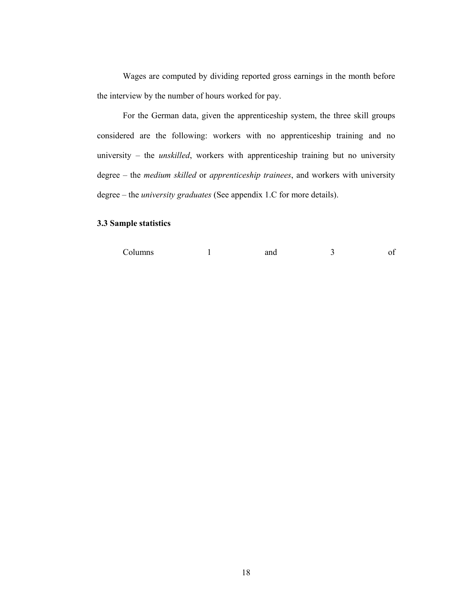Wages are computed by dividing reported gross earnings in the month before the interview by the number of hours worked for pay.

For the German data, given the apprenticeship system, the three skill groups considered are the following: workers with no apprenticeship training and no university – the *unskilled*, workers with apprenticeship training but no university degree – the *medium skilled* or *apprenticeship trainees*, and workers with university degree – the *university graduates* (See appendix 1.C for more details).

# **3.3 Sample statistics**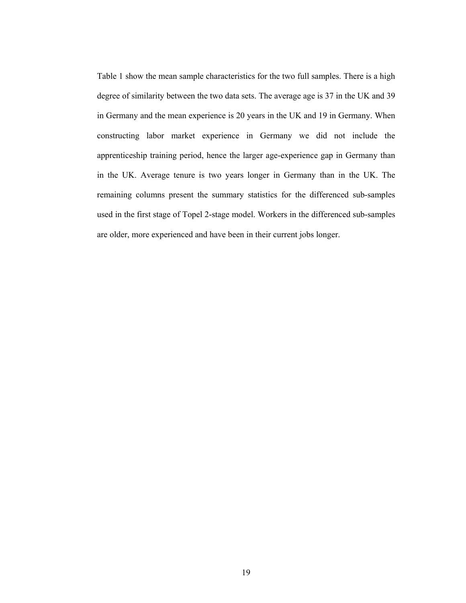Table 1 show the mean sample characteristics for the two full samples. There is a high degree of similarity between the two data sets. The average age is 37 in the UK and 39 in Germany and the mean experience is 20 years in the UK and 19 in Germany. When constructing labor market experience in Germany we did not include the apprenticeship training period, hence the larger age-experience gap in Germany than in the UK. Average tenure is two years longer in Germany than in the UK. The remaining columns present the summary statistics for the differenced sub-samples used in the first stage of Topel 2-stage model. Workers in the differenced sub-samples are older, more experienced and have been in their current jobs longer.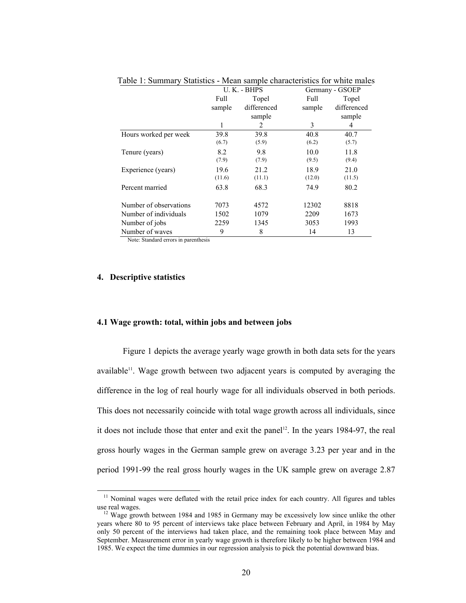|                        |        | U. K. - BHPS | Germany - GSOEP |             |  |
|------------------------|--------|--------------|-----------------|-------------|--|
|                        | Full   | Topel        | Full            | Topel       |  |
|                        | sample | differenced  | sample          | differenced |  |
|                        |        | sample       |                 | sample      |  |
|                        | 1      | 2            | 3               | 4           |  |
| Hours worked per week  | 39.8   | 39.8         | 40.8            | 40.7        |  |
|                        | (6.7)  | (5.9)        | (6.2)           | (5.7)       |  |
| Tenure (years)         | 8.2    | 9.8          | 10.0            | 11.8        |  |
|                        | (7.9)  | (7.9)        | (9.5)           | (9.4)       |  |
| Experience (years)     | 19.6   | 21.2         | 18.9            | 21.0        |  |
|                        | (11.6) | (11.1)       | (12.0)          | (11.5)      |  |
| Percent married        | 63.8   | 68.3         | 74.9            | 80.2        |  |
|                        |        |              |                 |             |  |
| Number of observations | 7073   | 4572         | 12302           | 8818        |  |
| Number of individuals  | 1502   | 1079         | 2209            | 1673        |  |
| Number of jobs         | 2259   | 1345         | 3053            | 1993        |  |
| Number of waves        | 9      | 8            | 14              | 13          |  |

Table 1: Summary Statistics - Mean sample characteristics for white males

Note: Standard errors in parenthesis

# **4. Descriptive statistics**

## **4.1 Wage growth: total, within jobs and between jobs**

Figure 1 depicts the average yearly wage growth in both data sets for the years available $1<sup>11</sup>$ . Wage growth between two adjacent years is computed by averaging the difference in the log of real hourly wage for all individuals observed in both periods. This does not necessarily coincide with total wage growth across all individuals, since it does not include those that enter and exit the panel<sup>12</sup>. In the years 1984-97, the real gross hourly wages in the German sample grew on average 3.23 per year and in the period 1991-99 the real gross hourly wages in the UK sample grew on average 2.87

<sup>&</sup>lt;sup>11</sup> Nominal wages were deflated with the retail price index for each country. All figures and tables use real wages.<br><sup>12</sup> Wage growth between 1984 and 1985 in Germany may be excessively low since unlike the other

years where 80 to 95 percent of interviews take place between February and April, in 1984 by May only 50 percent of the interviews had taken place, and the remaining took place between May and September. Measurement error in yearly wage growth is therefore likely to be higher between 1984 and 1985. We expect the time dummies in our regression analysis to pick the potential downward bias.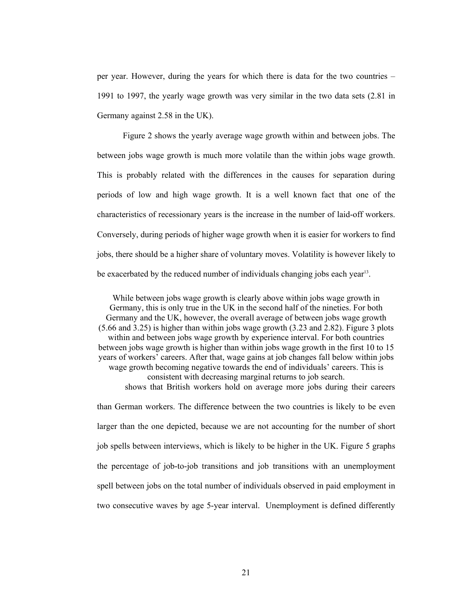per year. However, during the years for which there is data for the two countries – 1991 to 1997, the yearly wage growth was very similar in the two data sets (2.81 in Germany against 2.58 in the UK).

Figure 2 shows the yearly average wage growth within and between jobs. The between jobs wage growth is much more volatile than the within jobs wage growth. This is probably related with the differences in the causes for separation during periods of low and high wage growth. It is a well known fact that one of the characteristics of recessionary years is the increase in the number of laid-off workers. Conversely, during periods of higher wage growth when it is easier for workers to find jobs, there should be a higher share of voluntary moves. Volatility is however likely to be exacerbated by the reduced number of individuals changing jobs each year<sup>13</sup>.

While between jobs wage growth is clearly above within jobs wage growth in Germany, this is only true in the UK in the second half of the nineties. For both Germany and the UK, however, the overall average of between jobs wage growth (5.66 and 3.25) is higher than within jobs wage growth (3.23 and 2.82). Figure 3 plots within and between jobs wage growth by experience interval. For both countries between jobs wage growth is higher than within jobs wage growth in the first 10 to 15 years of workers' careers. After that, wage gains at job changes fall below within jobs wage growth becoming negative towards the end of individuals' careers. This is consistent with decreasing marginal returns to job search. shows that British workers hold on average more jobs during their careers than German workers. The difference between the two countries is likely to be even larger than the one depicted, because we are not accounting for the number of short job spells between interviews, which is likely to be higher in the UK. Figure 5 graphs the percentage of job-to-job transitions and job transitions with an unemployment spell between jobs on the total number of individuals observed in paid employment in two consecutive waves by age 5-year interval. Unemployment is defined differently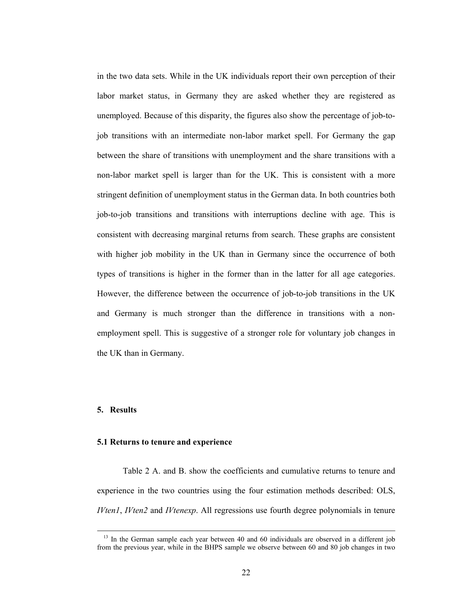in the two data sets. While in the UK individuals report their own perception of their labor market status, in Germany they are asked whether they are registered as unemployed. Because of this disparity, the figures also show the percentage of job-tojob transitions with an intermediate non-labor market spell. For Germany the gap between the share of transitions with unemployment and the share transitions with a non-labor market spell is larger than for the UK. This is consistent with a more stringent definition of unemployment status in the German data. In both countries both job-to-job transitions and transitions with interruptions decline with age. This is consistent with decreasing marginal returns from search. These graphs are consistent with higher job mobility in the UK than in Germany since the occurrence of both types of transitions is higher in the former than in the latter for all age categories. However, the difference between the occurrence of job-to-job transitions in the UK and Germany is much stronger than the difference in transitions with a nonemployment spell. This is suggestive of a stronger role for voluntary job changes in the UK than in Germany.

## **5. Results**

#### **5.1 Returns to tenure and experience**

Table 2 A. and B. show the coefficients and cumulative returns to tenure and experience in the two countries using the four estimation methods described: OLS, *IVten1*, *IVten2* and *IVtenexp*. All regressions use fourth degree polynomials in tenure

<sup>&</sup>lt;sup>13</sup> In the German sample each year between 40 and 60 individuals are observed in a different job from the previous year, while in the BHPS sample we observe between 60 and 80 job changes in two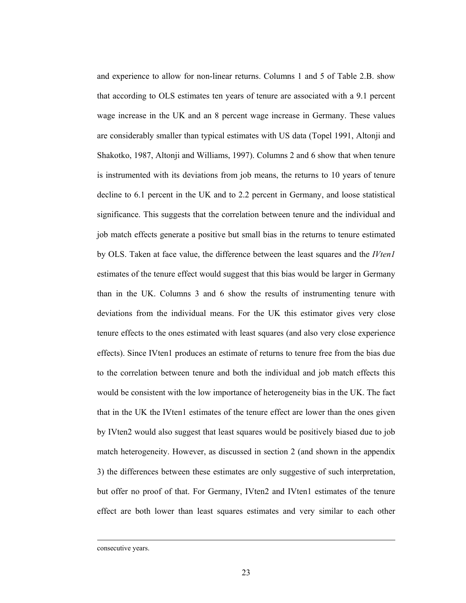and experience to allow for non-linear returns. Columns 1 and 5 of Table 2.B. show that according to OLS estimates ten years of tenure are associated with a 9.1 percent wage increase in the UK and an 8 percent wage increase in Germany. These values are considerably smaller than typical estimates with US data (Topel 1991, Altonji and Shakotko, 1987, Altonji and Williams, 1997). Columns 2 and 6 show that when tenure is instrumented with its deviations from job means, the returns to 10 years of tenure decline to 6.1 percent in the UK and to 2.2 percent in Germany, and loose statistical significance. This suggests that the correlation between tenure and the individual and job match effects generate a positive but small bias in the returns to tenure estimated by OLS. Taken at face value, the difference between the least squares and the *IVten1*  estimates of the tenure effect would suggest that this bias would be larger in Germany than in the UK. Columns 3 and 6 show the results of instrumenting tenure with deviations from the individual means. For the UK this estimator gives very close tenure effects to the ones estimated with least squares (and also very close experience effects). Since IVten1 produces an estimate of returns to tenure free from the bias due to the correlation between tenure and both the individual and job match effects this would be consistent with the low importance of heterogeneity bias in the UK. The fact that in the UK the IVten1 estimates of the tenure effect are lower than the ones given by IVten2 would also suggest that least squares would be positively biased due to job match heterogeneity. However, as discussed in section 2 (and shown in the appendix 3) the differences between these estimates are only suggestive of such interpretation, but offer no proof of that. For Germany, IVten2 and IVten1 estimates of the tenure effect are both lower than least squares estimates and very similar to each other

consecutive years.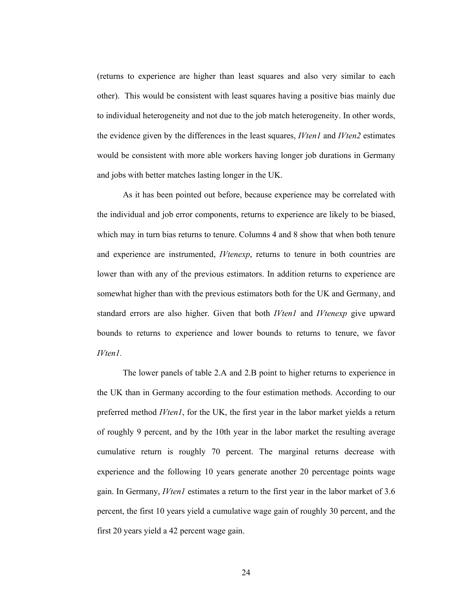(returns to experience are higher than least squares and also very similar to each other). This would be consistent with least squares having a positive bias mainly due to individual heterogeneity and not due to the job match heterogeneity. In other words, the evidence given by the differences in the least squares, *IVten1* and *IVten2* estimates would be consistent with more able workers having longer job durations in Germany and jobs with better matches lasting longer in the UK.

As it has been pointed out before, because experience may be correlated with the individual and job error components, returns to experience are likely to be biased, which may in turn bias returns to tenure. Columns 4 and 8 show that when both tenure and experience are instrumented, *IVtenexp*, returns to tenure in both countries are lower than with any of the previous estimators. In addition returns to experience are somewhat higher than with the previous estimators both for the UK and Germany, and standard errors are also higher. Given that both *IVten1* and *IVtenexp* give upward bounds to returns to experience and lower bounds to returns to tenure, we favor *IVten1.* 

The lower panels of table 2.A and 2.B point to higher returns to experience in the UK than in Germany according to the four estimation methods. According to our preferred method *IVten1*, for the UK, the first year in the labor market yields a return of roughly 9 percent, and by the 10th year in the labor market the resulting average cumulative return is roughly 70 percent. The marginal returns decrease with experience and the following 10 years generate another 20 percentage points wage gain. In Germany, *IVten1* estimates a return to the first year in the labor market of 3.6 percent, the first 10 years yield a cumulative wage gain of roughly 30 percent, and the first 20 years yield a 42 percent wage gain.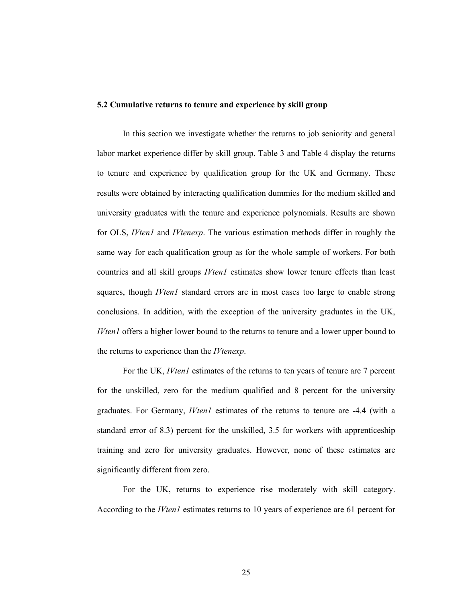#### **5.2 Cumulative returns to tenure and experience by skill group**

In this section we investigate whether the returns to job seniority and general labor market experience differ by skill group. Table 3 and Table 4 display the returns to tenure and experience by qualification group for the UK and Germany. These results were obtained by interacting qualification dummies for the medium skilled and university graduates with the tenure and experience polynomials. Results are shown for OLS, *IVten1* and *IVtenexp*. The various estimation methods differ in roughly the same way for each qualification group as for the whole sample of workers. For both countries and all skill groups *IVten1* estimates show lower tenure effects than least squares, though *IVten1* standard errors are in most cases too large to enable strong conclusions. In addition, with the exception of the university graduates in the UK, *IVten1* offers a higher lower bound to the returns to tenure and a lower upper bound to the returns to experience than the *IVtenexp*.

For the UK, *IVten1* estimates of the returns to ten years of tenure are 7 percent for the unskilled, zero for the medium qualified and 8 percent for the university graduates. For Germany, *IVten1* estimates of the returns to tenure are -4.4 (with a standard error of 8.3) percent for the unskilled, 3.5 for workers with apprenticeship training and zero for university graduates. However, none of these estimates are significantly different from zero.

For the UK, returns to experience rise moderately with skill category. According to the *IVten1* estimates returns to 10 years of experience are 61 percent for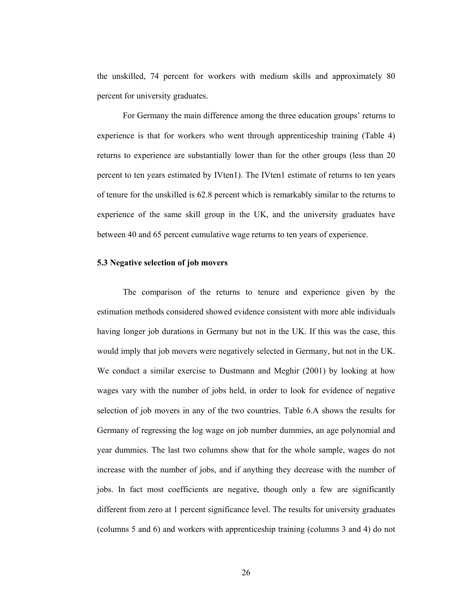the unskilled, 74 percent for workers with medium skills and approximately 80 percent for university graduates.

For Germany the main difference among the three education groups' returns to experience is that for workers who went through apprenticeship training (Table 4) returns to experience are substantially lower than for the other groups (less than 20 percent to ten years estimated by IVten1). The IVten1 estimate of returns to ten years of tenure for the unskilled is 62.8 percent which is remarkably similar to the returns to experience of the same skill group in the UK, and the university graduates have between 40 and 65 percent cumulative wage returns to ten years of experience.

#### **5.3 Negative selection of job movers**

The comparison of the returns to tenure and experience given by the estimation methods considered showed evidence consistent with more able individuals having longer job durations in Germany but not in the UK. If this was the case, this would imply that job movers were negatively selected in Germany, but not in the UK. We conduct a similar exercise to Dustmann and Meghir (2001) by looking at how wages vary with the number of jobs held, in order to look for evidence of negative selection of job movers in any of the two countries. Table 6.A shows the results for Germany of regressing the log wage on job number dummies, an age polynomial and year dummies. The last two columns show that for the whole sample, wages do not increase with the number of jobs, and if anything they decrease with the number of jobs. In fact most coefficients are negative, though only a few are significantly different from zero at 1 percent significance level. The results for university graduates (columns 5 and 6) and workers with apprenticeship training (columns 3 and 4) do not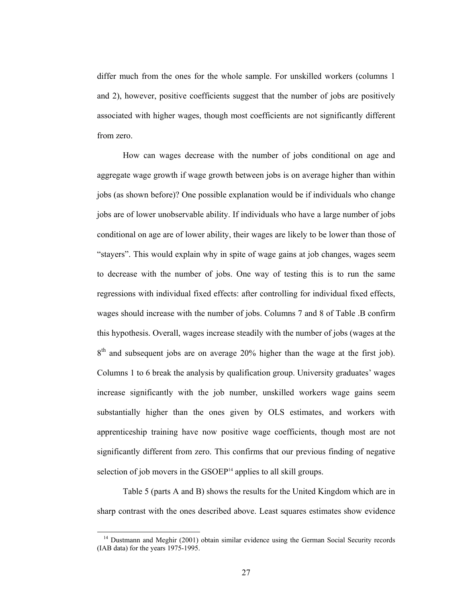differ much from the ones for the whole sample. For unskilled workers (columns 1 and 2), however, positive coefficients suggest that the number of jobs are positively associated with higher wages, though most coefficients are not significantly different from zero.

How can wages decrease with the number of jobs conditional on age and aggregate wage growth if wage growth between jobs is on average higher than within jobs (as shown before)? One possible explanation would be if individuals who change jobs are of lower unobservable ability. If individuals who have a large number of jobs conditional on age are of lower ability, their wages are likely to be lower than those of "stayers". This would explain why in spite of wage gains at job changes, wages seem to decrease with the number of jobs. One way of testing this is to run the same regressions with individual fixed effects: after controlling for individual fixed effects, wages should increase with the number of jobs. Columns 7 and 8 of Table .B confirm this hypothesis. Overall, wages increase steadily with the number of jobs (wages at the  $8<sup>th</sup>$  and subsequent jobs are on average 20% higher than the wage at the first job). Columns 1 to 6 break the analysis by qualification group. University graduates' wages increase significantly with the job number, unskilled workers wage gains seem substantially higher than the ones given by OLS estimates, and workers with apprenticeship training have now positive wage coefficients, though most are not significantly different from zero. This confirms that our previous finding of negative selection of job movers in the  $GSOEP<sup>14</sup>$  applies to all skill groups.

Table 5 (parts A and B) shows the results for the United Kingdom which are in sharp contrast with the ones described above. Least squares estimates show evidence

<sup>&</sup>lt;sup>14</sup> Dustmann and Meghir (2001) obtain similar evidence using the German Social Security records (IAB data) for the years 1975-1995.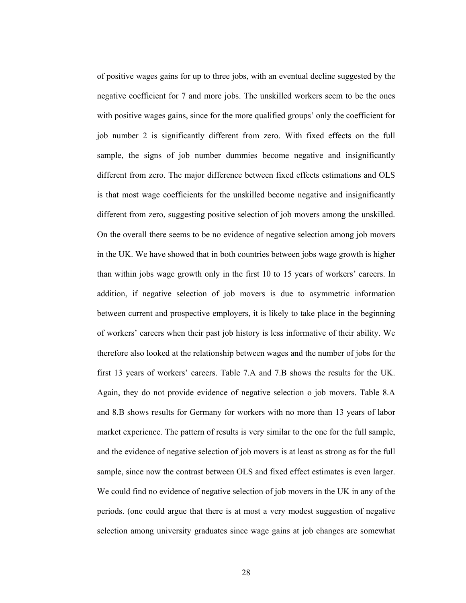of positive wages gains for up to three jobs, with an eventual decline suggested by the negative coefficient for 7 and more jobs. The unskilled workers seem to be the ones with positive wages gains, since for the more qualified groups' only the coefficient for job number 2 is significantly different from zero. With fixed effects on the full sample, the signs of job number dummies become negative and insignificantly different from zero. The major difference between fixed effects estimations and OLS is that most wage coefficients for the unskilled become negative and insignificantly different from zero, suggesting positive selection of job movers among the unskilled. On the overall there seems to be no evidence of negative selection among job movers in the UK. We have showed that in both countries between jobs wage growth is higher than within jobs wage growth only in the first 10 to 15 years of workers' careers. In addition, if negative selection of job movers is due to asymmetric information between current and prospective employers, it is likely to take place in the beginning of workers' careers when their past job history is less informative of their ability. We therefore also looked at the relationship between wages and the number of jobs for the first 13 years of workers' careers. Table 7.A and 7.B shows the results for the UK. Again, they do not provide evidence of negative selection o job movers. Table 8.A and 8.B shows results for Germany for workers with no more than 13 years of labor market experience. The pattern of results is very similar to the one for the full sample, and the evidence of negative selection of job movers is at least as strong as for the full sample, since now the contrast between OLS and fixed effect estimates is even larger. We could find no evidence of negative selection of job movers in the UK in any of the periods. (one could argue that there is at most a very modest suggestion of negative selection among university graduates since wage gains at job changes are somewhat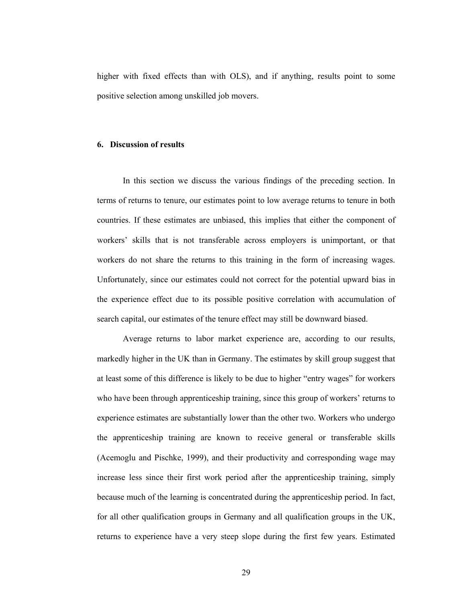higher with fixed effects than with OLS), and if anything, results point to some positive selection among unskilled job movers.

#### **6. Discussion of results**

In this section we discuss the various findings of the preceding section. In terms of returns to tenure, our estimates point to low average returns to tenure in both countries. If these estimates are unbiased, this implies that either the component of workers' skills that is not transferable across employers is unimportant, or that workers do not share the returns to this training in the form of increasing wages. Unfortunately, since our estimates could not correct for the potential upward bias in the experience effect due to its possible positive correlation with accumulation of search capital, our estimates of the tenure effect may still be downward biased.

Average returns to labor market experience are, according to our results, markedly higher in the UK than in Germany. The estimates by skill group suggest that at least some of this difference is likely to be due to higher "entry wages" for workers who have been through apprenticeship training, since this group of workers' returns to experience estimates are substantially lower than the other two. Workers who undergo the apprenticeship training are known to receive general or transferable skills (Acemoglu and Pischke, 1999), and their productivity and corresponding wage may increase less since their first work period after the apprenticeship training, simply because much of the learning is concentrated during the apprenticeship period. In fact, for all other qualification groups in Germany and all qualification groups in the UK, returns to experience have a very steep slope during the first few years. Estimated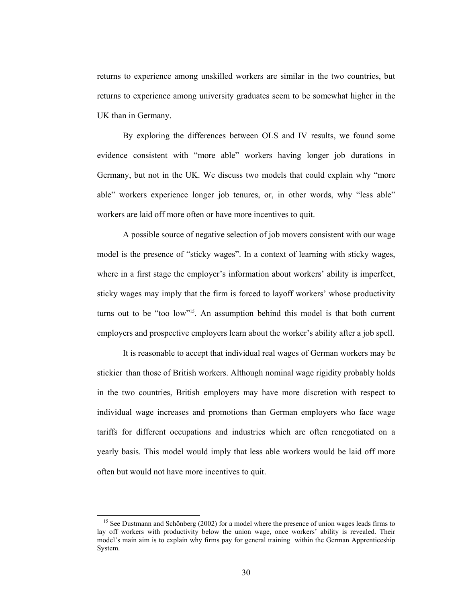returns to experience among unskilled workers are similar in the two countries, but returns to experience among university graduates seem to be somewhat higher in the UK than in Germany.

By exploring the differences between OLS and IV results, we found some evidence consistent with "more able" workers having longer job durations in Germany, but not in the UK. We discuss two models that could explain why "more able" workers experience longer job tenures, or, in other words, why "less able" workers are laid off more often or have more incentives to quit.

A possible source of negative selection of job movers consistent with our wage model is the presence of "sticky wages". In a context of learning with sticky wages, where in a first stage the employer's information about workers' ability is imperfect, sticky wages may imply that the firm is forced to layoff workers' whose productivity turns out to be "too low"15. An assumption behind this model is that both current employers and prospective employers learn about the worker's ability after a job spell.

It is reasonable to accept that individual real wages of German workers may be stickier than those of British workers. Although nominal wage rigidity probably holds in the two countries, British employers may have more discretion with respect to individual wage increases and promotions than German employers who face wage tariffs for different occupations and industries which are often renegotiated on a yearly basis. This model would imply that less able workers would be laid off more often but would not have more incentives to quit.

<sup>&</sup>lt;sup>15</sup> See Dustmann and Schönberg (2002) for a model where the presence of union wages leads firms to lay off workers with productivity below the union wage, once workers' ability is revealed. Their model's main aim is to explain why firms pay for general training within the German Apprenticeship System.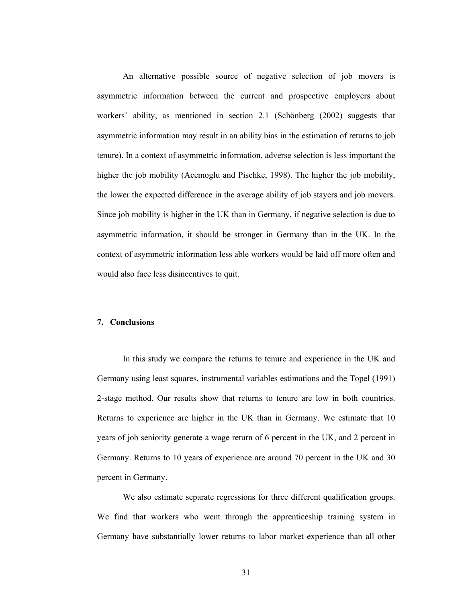An alternative possible source of negative selection of job movers is asymmetric information between the current and prospective employers about workers' ability, as mentioned in section 2.1 (Schönberg (2002) suggests that asymmetric information may result in an ability bias in the estimation of returns to job tenure). In a context of asymmetric information, adverse selection is less important the higher the job mobility (Acemoglu and Pischke, 1998). The higher the job mobility, the lower the expected difference in the average ability of job stayers and job movers. Since job mobility is higher in the UK than in Germany, if negative selection is due to asymmetric information, it should be stronger in Germany than in the UK. In the context of asymmetric information less able workers would be laid off more often and would also face less disincentives to quit.

## **7. Conclusions**

In this study we compare the returns to tenure and experience in the UK and Germany using least squares, instrumental variables estimations and the Topel (1991) 2-stage method. Our results show that returns to tenure are low in both countries. Returns to experience are higher in the UK than in Germany. We estimate that 10 years of job seniority generate a wage return of 6 percent in the UK, and 2 percent in Germany. Returns to 10 years of experience are around 70 percent in the UK and 30 percent in Germany.

We also estimate separate regressions for three different qualification groups. We find that workers who went through the apprenticeship training system in Germany have substantially lower returns to labor market experience than all other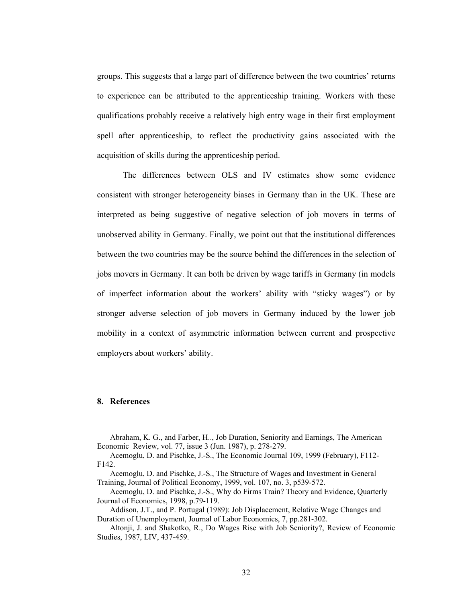groups. This suggests that a large part of difference between the two countries' returns to experience can be attributed to the apprenticeship training. Workers with these qualifications probably receive a relatively high entry wage in their first employment spell after apprenticeship, to reflect the productivity gains associated with the acquisition of skills during the apprenticeship period.

The differences between OLS and IV estimates show some evidence consistent with stronger heterogeneity biases in Germany than in the UK. These are interpreted as being suggestive of negative selection of job movers in terms of unobserved ability in Germany. Finally, we point out that the institutional differences between the two countries may be the source behind the differences in the selection of jobs movers in Germany. It can both be driven by wage tariffs in Germany (in models of imperfect information about the workers' ability with "sticky wages") or by stronger adverse selection of job movers in Germany induced by the lower job mobility in a context of asymmetric information between current and prospective employers about workers' ability.

# **8. References**

Abraham, K. G., and Farber, H.., Job Duration, Seniority and Earnings, The American Economic Review, vol. 77, issue 3 (Jun. 1987), p. 278-279.

Acemoglu, D. and Pischke, J.-S., The Economic Journal 109, 1999 (February), F112- F142.

Acemoglu, D. and Pischke, J.-S., The Structure of Wages and Investment in General Training, Journal of Political Economy, 1999, vol. 107, no. 3, p539-572.

Acemoglu, D. and Pischke, J.-S., Why do Firms Train? Theory and Evidence, Quarterly Journal of Economics, 1998, p.79-119.

Addison, J.T., and P. Portugal (1989): Job Displacement, Relative Wage Changes and Duration of Unemployment, Journal of Labor Economics, 7, pp.281-302.

Altonji, J. and Shakotko, R., Do Wages Rise with Job Seniority?, Review of Economic Studies, 1987, LIV, 437-459.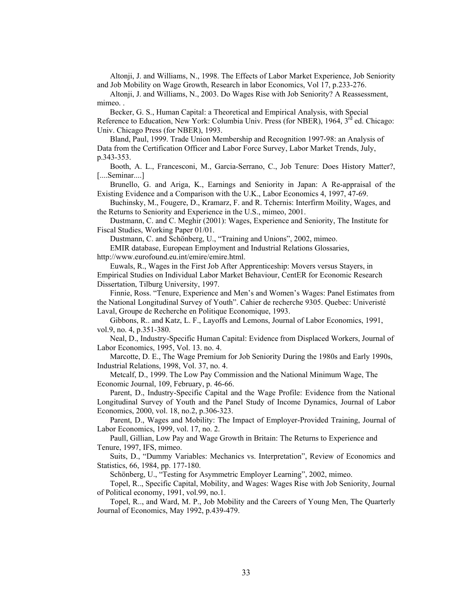Altonji, J. and Williams, N., 1998. The Effects of Labor Market Experience, Job Seniority and Job Mobility on Wage Growth, Research in labor Economics, Vol 17, p.233-276.

Altonji, J. and Williams, N., 2003. Do Wages Rise with Job Seniority? A Reassessment, mimeo. .

Becker, G. S., Human Capital: a Theoretical and Empirical Analysis, with Special Reference to Education, New York: Columbia Univ. Press (for NBER), 1964, 3<sup>rd</sup> ed. Chicago: Univ. Chicago Press (for NBER), 1993.

Bland, Paul, 1999. Trade Union Membership and Recognition 1997-98: an Analysis of Data from the Certification Officer and Labor Force Survey, Labor Market Trends, July, p.343-353.

Booth, A. L., Francesconi, M., Garcia-Serrano, C., Job Tenure: Does History Matter?, [....Seminar....]

Brunello, G. and Ariga, K., Earnings and Seniority in Japan: A Re-appraisal of the Existing Evidence and a Comparison with the U.K., Labor Economics 4, 1997, 47-69.

Buchinsky, M., Fougere, D., Kramarz, F. and R. Tchernis: Interfirm Moility, Wages, and the Returns to Seniority and Experience in the U.S., mimeo, 2001.

Dustmann, C. and C. Meghir (2001): Wages, Experience and Seniority, The Institute for Fiscal Studies, Working Paper 01/01.

Dustmann, C. and Schönberg, U., "Training and Unions", 2002, mimeo.

EMIR database, European Employment and Industrial Relations Glossaries, http://www.eurofound.eu.int/emire/emire.html.

Euwals, R., Wages in the First Job After Apprenticeship: Movers versus Stayers, in Empirical Studies on Individual Labor Market Behaviour, CentER for Economic Research Dissertation, Tilburg University, 1997.

Finnie, Ross. "Tenure, Experience and Men's and Women's Wages: Panel Estimates from the National Longitudinal Survey of Youth". Cahier de recherche 9305. Quebec: Univeristé Laval, Groupe de Recherche en Politique Economique, 1993.

Gibbons, R.. and Katz, L. F., Layoffs and Lemons, Journal of Labor Economics, 1991, vol.9, no. 4, p.351-380.

Neal, D., Industry-Specific Human Capital: Evidence from Displaced Workers, Journal of Labor Economics, 1995, Vol. 13. no. 4.

Marcotte, D. E., The Wage Premium for Job Seniority During the 1980s and Early 1990s, Industrial Relations, 1998, Vol. 37, no. 4.

Metcalf, D., 1999. The Low Pay Commission and the National Minimum Wage, The Economic Journal, 109, February, p. 46-66.

Parent, D., Industry-Specific Capital and the Wage Profile: Evidence from the National Longitudinal Survey of Youth and the Panel Study of Income Dynamics, Journal of Labor Economics, 2000, vol. 18, no.2, p.306-323.

Parent, D., Wages and Mobility: The Impact of Employer-Provided Training, Journal of Labor Economics, 1999, vol. 17, no. 2.

Paull, Gillian, Low Pay and Wage Growth in Britain: The Returns to Experience and Tenure, 1997, IFS, mimeo.

Suits, D., "Dummy Variables: Mechanics vs. Interpretation", Review of Economics and Statistics, 66, 1984, pp. 177-180.

Schönberg, U., "Testing for Asymmetric Employer Learning", 2002, mimeo.

Topel, R.., Specific Capital, Mobility, and Wages: Wages Rise with Job Seniority, Journal of Political economy, 1991, vol.99, no.1.

Topel, R.., and Ward, M. P., Job Mobility and the Careers of Young Men, The Quarterly Journal of Economics, May 1992, p.439-479.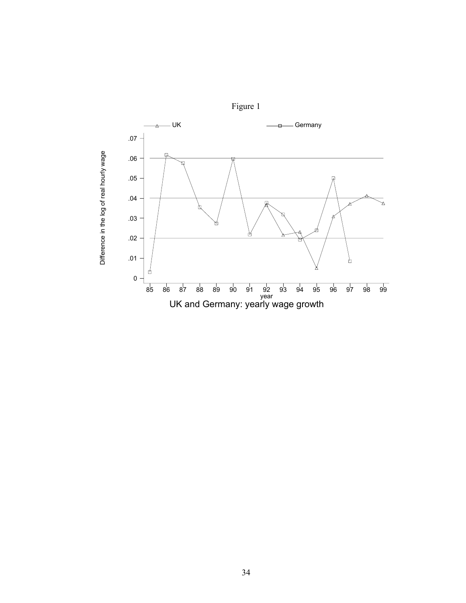

Difference in the log of real hourly wage

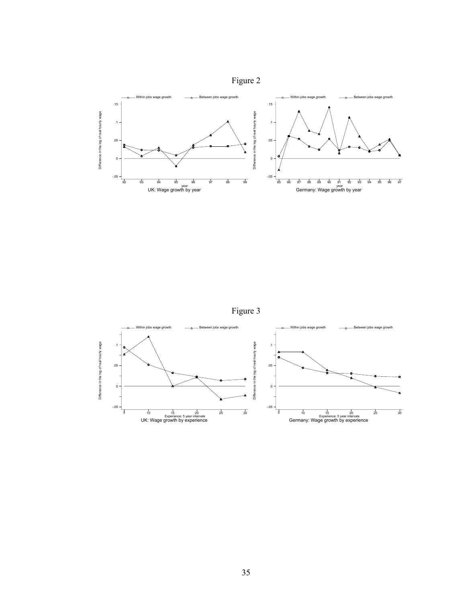



Figure 3

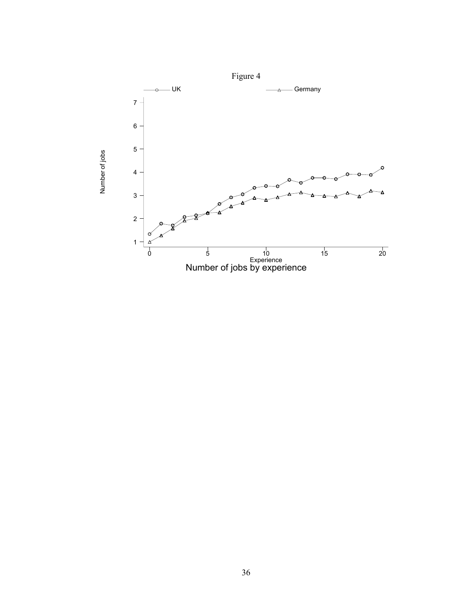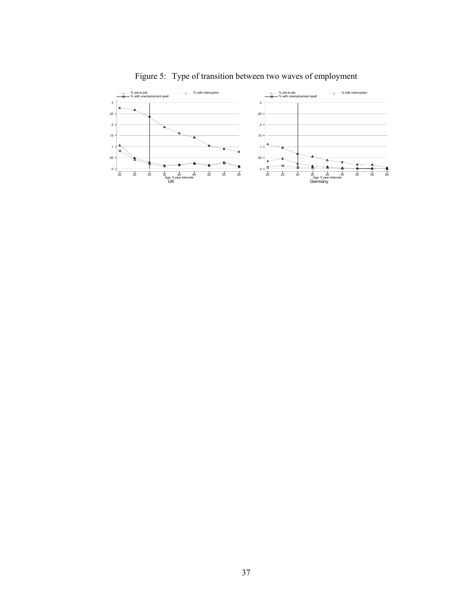

# Figure 5: Type of transition between two waves of employment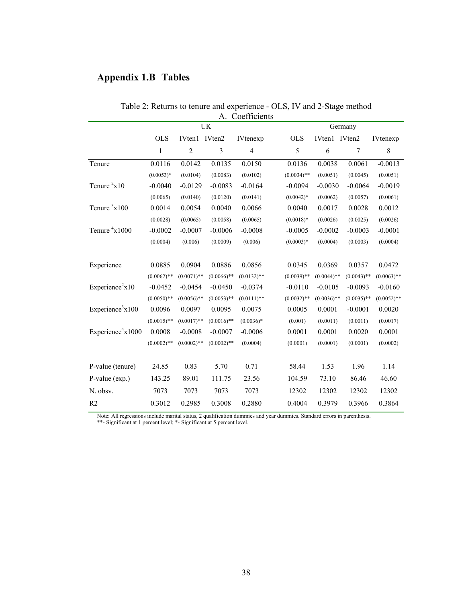# **Appendix 1.B Tables**

| Coefficients<br>A.            |               |               |                |                          |  |               |               |               |               |  |
|-------------------------------|---------------|---------------|----------------|--------------------------|--|---------------|---------------|---------------|---------------|--|
|                               |               |               | UK             |                          |  | Germany       |               |               |               |  |
|                               | <b>OLS</b>    | IVten1        | IVten2         | <b>IVtenexp</b>          |  | <b>OLS</b>    | IVten1        | IVten2        | IVtenexp      |  |
|                               | 1             | $\sqrt{2}$    | $\overline{3}$ | $\overline{\mathcal{A}}$ |  | 5             | 6             | 7             | 8             |  |
| Tenure                        | 0.0116        | 0.0142        | 0.0135         | 0.0150                   |  | 0.0136        | 0.0038        | 0.0061        | $-0.0013$     |  |
|                               | $(0.0053)*$   | (0.0104)      | (0.0083)       | (0.0102)                 |  | $(0.0034)$ ** | (0.0051)      | (0.0045)      | (0.0051)      |  |
| Tenure $2x10$                 | $-0.0040$     | $-0.0129$     | $-0.0083$      | $-0.0164$                |  | $-0.0094$     | $-0.0030$     | $-0.0064$     | $-0.0019$     |  |
|                               | (0.0065)      | (0.0140)      | (0.0120)       | (0.0141)                 |  | $(0.0042)*$   | (0.0062)      | (0.0057)      | (0.0061)      |  |
| Tenure $3x100$                | 0.0014        | 0.0054        | 0.0040         | 0.0066                   |  | 0.0040        | 0.0017        | 0.0028        | 0.0012        |  |
|                               | (0.0028)      | (0.0065)      | (0.0058)       | (0.0065)                 |  | $(0.0018)*$   | (0.0026)      | (0.0025)      | (0.0026)      |  |
| Tenure $4x1000$               | $-0.0002$     | $-0.0007$     | $-0.0006$      | $-0.0008$                |  | $-0.0005$     | $-0.0002$     | $-0.0003$     | $-0.0001$     |  |
|                               | (0.0004)      | (0.006)       | (0.0009)       | (0.006)                  |  | $(0.0003)*$   | (0.0004)      | (0.0003)      | (0.0004)      |  |
|                               |               |               |                |                          |  |               |               |               |               |  |
| Experience                    | 0.0885        | 0.0904        | 0.0886         | 0.0856                   |  | 0.0345        | 0.0369        | 0.0357        | 0.0472        |  |
|                               | $(0.0062)$ ** | $(0.0071)$ ** | $(0.0066)$ **  | $(0.0132)$ **            |  | $(0.0039)$ ** | $(0.0044)$ ** | $(0.0043)$ ** | $(0.0063)$ ** |  |
| Experience <sup>2</sup> $x10$ | $-0.0452$     | $-0.0454$     | $-0.0450$      | $-0.0374$                |  | $-0.0110$     | $-0.0105$     | $-0.0093$     | $-0.0160$     |  |
|                               | $(0.0050)$ ** | $(0.0056)$ ** | $(0.0053)$ **  | $(0.0111)$ **            |  | $(0.0032)$ ** | $(0.0036)$ ** | $(0.0035)$ ** | $(0.0052)$ ** |  |
| Experience <sup>3</sup> x100  | 0.0096        | 0.0097        | 0.0095         | 0.0075                   |  | 0.0005        | 0.0001        | $-0.0001$     | 0.0020        |  |
|                               | $(0.0015)$ ** | $(0.0017)$ ** | $(0.0016)$ **  | $(0.0036)*$              |  | (0.001)       | (0.0011)      | (0.0011)      | (0.0017)      |  |
| Experience $4x1000$           | 0.0008        | $-0.0008$     | $-0.0007$      | $-0.0006$                |  | 0.0001        | 0.0001        | 0.0020        | 0.0001        |  |
|                               | $(0.0002)$ ** | $(0.0002)$ ** | $(0.0002)$ **  | (0.0004)                 |  | (0.0001)      | (0.0001)      | (0.0001)      | (0.0002)      |  |
|                               |               |               |                |                          |  |               |               |               |               |  |
| P-value (tenure)              | 24.85         | 0.83          | 5.70           | 0.71                     |  | 58.44         | 1.53          | 1.96          | 1.14          |  |
| P-value (exp.)                | 143.25        | 89.01         | 111.75         | 23.56                    |  | 104.59        | 73.10         | 86.46         | 46.60         |  |
| N. obsv.                      | 7073          | 7073          | 7073           | 7073                     |  | 12302         | 12302         | 12302         | 12302         |  |
| R <sub>2</sub>                | 0.3012        | 0.2985        | 0.3008         | 0.2880                   |  | 0.4004        | 0.3979        | 0.3966        | 0.3864        |  |

Table 2: Returns to tenure and experience - OLS, IV and 2-Stage method

Note: All regressions include marital status, 2 qualification dummies and year dummies. Standard errors in parenthesis.

\*\*- Significant at 1 percent level; \*- Significant at 5 percent level.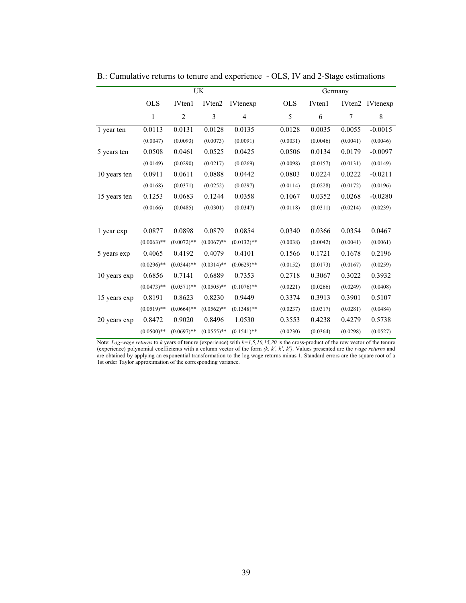|              |               |                    | UK            |                 | Germany    |          |                    |                 |  |
|--------------|---------------|--------------------|---------------|-----------------|------------|----------|--------------------|-----------------|--|
|              | <b>OLS</b>    | IV <sub>ten1</sub> | IVten2        | <b>IVtenexp</b> | <b>OLS</b> | IVten1   | IVten <sub>2</sub> | <b>IVtenexp</b> |  |
|              | $\mathbf{1}$  | $\overline{2}$     | 3             | 4               | 5          | 6        | 7                  | 8               |  |
| 1 year ten   | 0.0113        | 0.0131             | 0.0128        | 0.0135          | 0.0128     | 0.0035   | 0.0055             | $-0.0015$       |  |
|              | (0.0047)      | (0.0093)           | (0.0073)      | (0.0091)        | (0.0031)   | (0.0046) | (0.0041)           | (0.0046)        |  |
| 5 years ten  | 0.0508        | 0.0461             | 0.0525        | 0.0425          | 0.0506     | 0.0134   | 0.0179             | $-0.0097$       |  |
|              | (0.0149)      | (0.0290)           | (0.0217)      | (0.0269)        | (0.0098)   | (0.0157) | (0.0131)           | (0.0149)        |  |
| 10 years ten | 0.0911        | 0.0611             | 0.0888        | 0.0442          | 0.0803     | 0.0224   | 0.0222             | $-0.0211$       |  |
|              | (0.0168)      | (0.0371)           | (0.0252)      | (0.0297)        | (0.0114)   | (0.0228) | (0.0172)           | (0.0196)        |  |
| 15 years ten | 0.1253        | 0.0683             | 0.1244        | 0.0358          | 0.1067     | 0.0352   | 0.0268             | $-0.0280$       |  |
|              | (0.0166)      | (0.0485)           | (0.0301)      | (0.0347)        | (0.0118)   | (0.0311) | (0.0214)           | (0.0239)        |  |
|              |               |                    |               |                 |            |          |                    |                 |  |
| 1 year exp   | 0.0877        | 0.0898             | 0.0879        | 0.0854          | 0.0340     | 0.0366   | 0.0354             | 0.0467          |  |
|              | $(0.0063)$ ** | $(0.0072)$ **      | $(0.0067)$ ** | $(0.0132)$ **   | (0.0038)   | (0.0042) | (0.0041)           | (0.0061)        |  |
| 5 years exp  | 0.4065        | 0.4192             | 0.4079        | 0.4101          | 0.1566     | 0.1721   | 0.1678             | 0.2196          |  |
|              | $(0.0296)$ ** | $(0.0344)$ **      | $(0.0314)$ ** | $(0.0629)$ **   | (0.0152)   | (0.0173) | (0.0167)           | (0.0259)        |  |
| 10 years exp | 0.6856        | 0.7141             | 0.6889        | 0.7353          | 0.2718     | 0.3067   | 0.3022             | 0.3932          |  |
|              | $(0.0473)$ ** | $(0.0571)$ **      | $(0.0505)$ ** | $(0.1076)$ **   | (0.0221)   | (0.0266) | (0.0249)           | (0.0408)        |  |
| 15 years exp | 0.8191        | 0.8623             | 0.8230        | 0.9449          | 0.3374     | 0.3913   | 0.3901             | 0.5107          |  |
|              | $(0.0519)$ ** | $(0.0664)$ **      | $(0.0562)$ ** | $(0.1348)$ **   | (0.0237)   | (0.0317) | (0.0281)           | (0.0484)        |  |
| 20 years exp | 0.8472        | 0.9020             | 0.8496        | 1.0530          | 0.3553     | 0.4238   | 0.4279             | 0.5738          |  |
|              | $(0.0500)$ ** | $(0.0697)$ **      | $(0.0555)$ ** | $(0.1541)$ **   | (0.0230)   | (0.0364) | (0.0298)           | (0.0527)        |  |

B.: Cumulative returns to tenure and experience - OLS, IV and 2-Stage estimations

Note: *Log-wage returns* to *k* years of tenure (experience) with  $k=1,5,10,15,20$  is the cross-product of the row vector of the tenure (experience) polynomial coefficients with a column vector of the form  $(k, k^2, k^3, k^4)$ are obtained by applying an exponential transformation to the log wage returns minus 1. Standard errors are the square root of a 1st order Taylor approximation of the corresponding variance.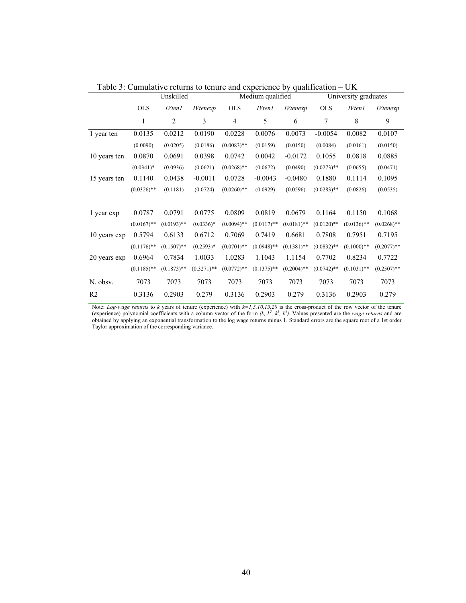|                |               | Unskilled     |                 |               | Medium qualified |                 | University graduates |               |                 |
|----------------|---------------|---------------|-----------------|---------------|------------------|-----------------|----------------------|---------------|-----------------|
|                | <b>OLS</b>    | <b>IVten1</b> | <i>IVtenexp</i> | <b>OLS</b>    | <b>IVten1</b>    | <b>IVtenexp</b> | <b>OLS</b>           | <b>IVten1</b> | <i>IVtenexp</i> |
|                | 1             | 2             | 3               | 4             | 5                | 6               | 7                    | 8             | 9               |
| 1 year ten     | 0.0135        | 0.0212        | 0.0190          | 0.0228        | 0.0076           | 0.0073          | $-0.0054$            | 0.0082        | 0.0107          |
|                | (0.0090)      | (0.0205)      | (0.0186)        | $(0.0083)$ ** | (0.0159)         | (0.0150)        | (0.0084)             | (0.0161)      | (0.0150)        |
| 10 years ten   | 0.0870        | 0.0691        | 0.0398          | 0.0742        | 0.0042           | $-0.0172$       | 0.1055               | 0.0818        | 0.0885          |
|                | $(0.0341)^*$  | (0.0936)      | (0.0621)        | $(0.0268)$ ** | (0.0672)         | (0.0490)        | $(0.0273)$ **        | (0.0655)      | (0.0471)        |
| 15 years ten   | 0.1140        | 0.0438        | $-0.0011$       | 0.0728        | $-0.0043$        | $-0.0480$       | 0.1880               | 0.1114        | 0.1095          |
|                | $(0.0326)$ ** | (0.1181)      | (0.0724)        | $(0.0260)$ ** | (0.0929)         | (0.0596)        | $(0.0283)$ **        | (0.0826)      | (0.0535)        |
|                |               |               |                 |               |                  |                 |                      |               |                 |
| 1 year exp     | 0.0787        | 0.0791        | 0.0775          | 0.0809        | 0.0819           | 0.0679          | 0.1164               | 0.1150        | 0.1068          |
|                | $(0.0167)$ ** | $(0.0193)$ ** | $(0.0336)*$     | $(0.0094)$ ** | $(0.0117)$ **    | $(0.0181)$ **   | $(0.0120)$ **        | $(0.0136)$ ** | $(0.0268)$ **   |
| 10 years exp   | 0.5794        | 0.6133        | 0.6712          | 0.7069        | 0.7419           | 0.6681          | 0.7808               | 0.7951        | 0.7195          |
|                | $(0.1176)$ ** | $(0.1507)$ ** | $(0.2593)*$     | $(0.0701)$ ** | $(0.0948)$ **    | $(0.1381)$ **   | $(0.0832)$ **        | $(0.1000)$ ** | $(0.2077)$ **   |
| 20 years exp   | 0.6964        | 0.7834        | 1.0033          | 1.0283        | 1.1043           | 1.1154          | 0.7702               | 0.8234        | 0.7722          |
|                | $(0.1185)$ ** | $(0.1873)$ ** | $(0.3271)**$    | $(0.0772)$ ** | $(0.1375)$ **    | $(0.2004)$ **   | $(0.0742)$ **        | $(0.1031)$ ** | $(0.2507)$ **   |
| N. obsv.       | 7073          | 7073          | 7073            | 7073          | 7073             | 7073            | 7073                 | 7073          | 7073            |
| R <sub>2</sub> | 0.3136        | 0.2903        | 0.279           | 0.3136        | 0.2903           | 0.279           | 0.3136               | 0.2903        | 0.279           |

Table 3: Cumulative returns to tenure and experience by qualification – UK

Note: *Log-wage returns* to k years of tenure (experience) with  $k=1,5,10,15,20$  is the cross-product of the row vector of the tenure (experience) polynomial coefficients with a column vector of the form  $(k, k^2, k^3, k^4)$ . obtained by applying an exponential transformation to the log wage returns minus 1. Standard errors are the square root of a 1st order Taylor approximation of the corresponding variance.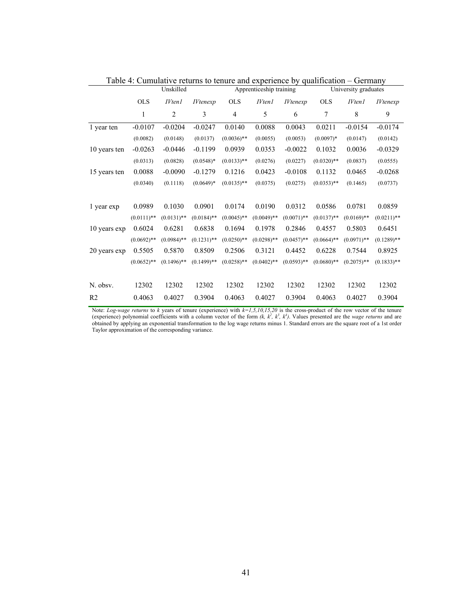|                |               | Unskilled      |                 |                | Apprenticeship training |                 | University graduates |               |                 |
|----------------|---------------|----------------|-----------------|----------------|-------------------------|-----------------|----------------------|---------------|-----------------|
|                | <b>OLS</b>    | <i>IVten1</i>  | <i>IVtenexp</i> | <b>OLS</b>     | <b>IVten1</b>           | <i>IVtenexp</i> | <b>OLS</b>           | <i>IVten1</i> | <i>IVtenexp</i> |
|                | 1             | $\overline{2}$ | 3               | $\overline{4}$ | 5                       | 6               | 7                    | 8             | 9               |
| 1 year ten     | $-0.0107$     | $-0.0204$      | $-0.0247$       | 0.0140         | 0.0088                  | 0.0043          | 0.0211               | $-0.0154$     | $-0.0174$       |
|                | (0.0082)      | (0.0148)       | (0.0137)        | $(0.0036)$ **  | (0.0055)                | (0.0053)        | $(0.0097)*$          | (0.0147)      | (0.0142)        |
| 10 years ten   | $-0.0263$     | $-0.0446$      | $-0.1199$       | 0.0939         | 0.0353                  | $-0.0022$       | 0.1032               | 0.0036        | $-0.0329$       |
|                | (0.0313)      | (0.0828)       | $(0.0548)*$     | $(0.0133)$ **  | (0.0276)                | (0.0227)        | $(0.0320)$ **        | (0.0837)      | (0.0555)        |
| 15 years ten   | 0.0088        | $-0.0090$      | $-0.1279$       | 0.1216         | 0.0423                  | $-0.0108$       | 0.1132               | 0.0465        | $-0.0268$       |
|                | (0.0340)      | (0.1118)       | $(0.0649)*$     | $(0.0135)$ **  | (0.0375)                | (0.0275)        | $(0.0353)$ **        | (0.1465)      | (0.0737)        |
|                |               |                |                 |                |                         |                 |                      |               |                 |
| 1 year exp     | 0.0989        | 0.1030         | 0.0901          | 0.0174         | 0.0190                  | 0.0312          | 0.0586               | 0.0781        | 0.0859          |
|                | $(0.0111)$ ** | $(0.0131)$ **  | $(0.0184)$ **   | $(0.0045)$ **  | $(0.0049)$ **           | $(0.0071)$ **   | $(0.0137)$ **        | $(0.0169)$ ** | $(0.0211)$ **   |
| 10 years exp   | 0.6024        | 0.6281         | 0.6838          | 0.1694         | 0.1978                  | 0.2846          | 0.4557               | 0.5803        | 0.6451          |
|                | $(0.0692)$ ** | $(0.0984)$ **  | $(0.1231)$ **   | $(0.0250)$ **  | $(0.0298)$ **           | $(0.0457)$ **   | $(0.0664)$ **        | $(0.0971)$ ** | $(0.1289)$ **   |
| 20 years exp   | 0.5505        | 0.5870         | 0.8509          | 0.2506         | 0.3121                  | 0.4452          | 0.6228               | 0.7544        | 0.8925          |
|                | $(0.0652)$ ** | $(0.1496)$ **  | $(0.1499)**$    | $(0.0258)$ **  | $(0.0402)$ **           | $(0.0593)$ **   | $(0.0680)$ **        | $(0.2075)$ ** | $(0.1833)$ **   |
|                |               |                |                 |                |                         |                 |                      |               |                 |
| N. obsv.       | 12302         | 12302          | 12302           | 12302          | 12302                   | 12302           | 12302                | 12302         | 12302           |
| R <sub>2</sub> | 0.4063        | 0.4027         | 0.3904          | 0.4063         | 0.4027                  | 0.3904          | 0.4063               | 0.4027        | 0.3904          |

Table 4: Cumulative returns to tenure and experience by qualification – Germany

Note: *Log-wage returns* to *k* years of tenure (experience) with  $k=1,5,10,15,20$  is the cross-product of the row vector of the tenure (experience) polynomial coefficients with a column vector of the form  $(k, k^2, k^3, k^4)$ obtained by applying an exponential transformation to the log wage returns minus 1. Standard errors are the square root of a 1st order Taylor approximation of the corresponding variance.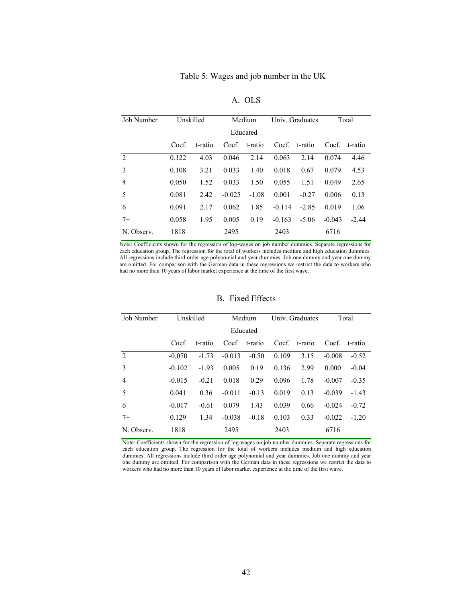| Job Number     | Unskilled |         | Medium   |          | Univ. Graduates |         | Total    |         |
|----------------|-----------|---------|----------|----------|-----------------|---------|----------|---------|
|                |           |         |          | Educated |                 |         |          |         |
|                | Coef.     | t-ratio | Coef.    | t-ratio  | Coef.           | t-ratio | Coef.    | t-ratio |
| $\mathfrak{D}$ | 0.122     | 4.03    | 0.046    | 2.14     | 0.063           | 2.14    | 0.074    | 4.46    |
| 3              | 0.108     | 3.21    | 0.033    | 1.40     | 0.018           | 0.67    | 0.079    | 4.53    |
| 4              | 0.050     | 1.52    | 0.033    | 1.50     | 0.055           | 1.51    | 0.049    | 2.65    |
| 5              | 0.081     | 2.42    | $-0.025$ | $-1.08$  | 0.001           | $-0.27$ | 0.006    | 0.13    |
| 6              | 0.091     | 2.17    | 0.062    | 1.85     | $-0.114$        | $-2.85$ | 0.019    | 1.06    |
| $7+$           | 0.058     | 1.95    | 0.005    | 0.19     | $-0.163$        | $-5.06$ | $-0.043$ | $-2.44$ |
| N. Observ.     | 1818      |         | 2495     |          | 2403            |         | 6716     |         |

A. OLS

Note: Coefficients shown for the regression of log-wages on job number dummies. Separate regressions for each education group. The regression for the total of workers includes medium and high education dummies. All regressions include third order age polynomial and year dummies. Job one dummy and year one dummy are omitted. For comparison with the German data in these regressions we restrict the data to workers who had no more than 10 years of labor market experience at the time of the first wave.

| Job Number     | Unskilled |         | Medium   |               | Univ. Graduates |               | Total    |               |
|----------------|-----------|---------|----------|---------------|-----------------|---------------|----------|---------------|
|                |           |         |          | Educated      |                 |               |          |               |
|                | Coef.     | t-ratio |          | Coef. t-ratio |                 | Coef. t-ratio |          | Coef. t-ratio |
| $\mathfrak{D}$ | $-0.070$  | $-1.73$ | $-0.013$ | $-0.50$       | 0.109           | 3.15          | $-0.008$ | $-0.52$       |
| 3              | $-0.102$  | $-1.93$ | 0.005    | 0.19          | 0.136           | 2.99          | 0.000    | $-0.04$       |
| $\overline{4}$ | $-0.015$  | $-0.21$ | 0.018    | 0.29          | 0.096           | 1.78          | $-0.007$ | $-0.35$       |
| 5              | 0.041     | 0.36    | $-0.011$ | $-0.13$       | 0.019           | 0.13          | $-0.039$ | $-1.43$       |
| 6              | $-0.017$  | $-0.61$ | 0.079    | 1.43          | 0.039           | 0.66          | $-0.024$ | $-0.72$       |
| $7+$           | 0.129     | 1.34    | $-0.038$ | $-0.18$       | 0.103           | 0.33          | $-0.022$ | $-1.20$       |
| N. Observ.     | 1818      |         | 2495     |               | 2403            |               | 6716     |               |

B. Fixed Effects

Note: Coefficients shown for the regression of log-wages on job number dummies. Separate regressions for each education group. The regression for the total of workers includes medium and high education dummies. All regressions include third order age polynomial and year dummies. Job one dummy and year one dummy are omitted. For comparison with the German data in these regressions we restrict the data to workers who had no more than 10 years of labor market experience at the time of the first wave.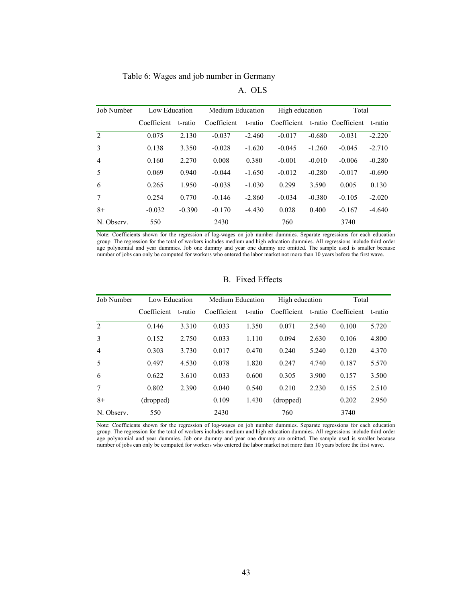Table 6: Wages and job number in Germany

| Job Number     | Low Education |          | Medium Education |          | High education                  |          | Total    |          |
|----------------|---------------|----------|------------------|----------|---------------------------------|----------|----------|----------|
|                | Coefficient   | t-ratio  | Coefficient      | t-ratio  | Coefficient t-ratio Coefficient |          |          | t-ratio  |
| 2              | 0.075         | 2.130    | $-0.037$         | $-2.460$ | $-0.017$                        | $-0.680$ | $-0.031$ | $-2.220$ |
| 3              | 0.138         | 3.350    | $-0.028$         | $-1.620$ | $-0.045$                        | $-1.260$ | $-0.045$ | $-2.710$ |
| $\overline{4}$ | 0.160         | 2.270    | 0.008            | 0.380    | $-0.001$                        | $-0.010$ | $-0.006$ | $-0.280$ |
| -5             | 0.069         | 0.940    | $-0.044$         | $-1.650$ | $-0.012$                        | $-0.280$ | $-0.017$ | $-0.690$ |
| 6              | 0.265         | 1.950    | $-0.038$         | $-1.030$ | 0.299                           | 3.590    | 0.005    | 0.130    |
| 7              | 0.254         | 0.770    | $-0.146$         | $-2.860$ | $-0.034$                        | $-0.380$ | $-0.105$ | $-2.020$ |
| $8+$           | $-0.032$      | $-0.390$ | $-0.170$         | $-4.430$ | 0.028                           | 0.400    | $-0.167$ | $-4.640$ |
| N. Observ.     | 550           |          | 2430             |          | 760                             |          | 3740     |          |

Note: Coefficients shown for the regression of log-wages on job number dummies. Separate regressions for each education group. The regression for the total of workers includes medium and high education dummies. All regressions include third order age polynomial and year dummies. Job one dummy and year one dummy are omitted. The sample used is smaller because number of jobs can only be computed for workers who entered the labor market not more than 10 years before the first wave.

| Job Number     | Low Education |         | Medium Education |         | High education |       | Total               |         |
|----------------|---------------|---------|------------------|---------|----------------|-------|---------------------|---------|
|                | Coefficient   | t-ratio | Coefficient      | t-ratio | Coefficient    |       | t-ratio Coefficient | t-ratio |
| 2              | 0.146         | 3.310   | 0.033            | 1.350   | 0.071          | 2.540 | 0.100               | 5.720   |
| 3              | 0.152         | 2.750   | 0.033            | 1.110   | 0.094          | 2.630 | 0.106               | 4.800   |
| $\overline{4}$ | 0.303         | 3.730   | 0.017            | 0.470   | 0.240          | 5.240 | 0.120               | 4.370   |
| -5             | 0.497         | 4.530   | 0.078            | 1.820   | 0.247          | 4.740 | 0.187               | 5.570   |
| 6              | 0.622         | 3.610   | 0.033            | 0.600   | 0.305          | 3.900 | 0.157               | 3.500   |
| 7              | 0.802         | 2.390   | 0.040            | 0.540   | 0.210          | 2.230 | 0.155               | 2.510   |
| $8+$           | (dropped)     |         | 0.109            | 1.430   | (dropped)      |       | 0.202               | 2.950   |
| N. Observ.     | 550           |         | 2430             |         | 760            |       | 3740                |         |

B. Fixed Effects

Note: Coefficients shown for the regression of log-wages on job number dummies. Separate regressions for each education group. The regression for the total of workers includes medium and high education dummies. All regressions include third order age polynomial and year dummies. Job one dummy and year one dummy are omitted. The sample used is smaller because number of jobs can only be computed for workers who entered the labor market not more than 10 years before the first wave.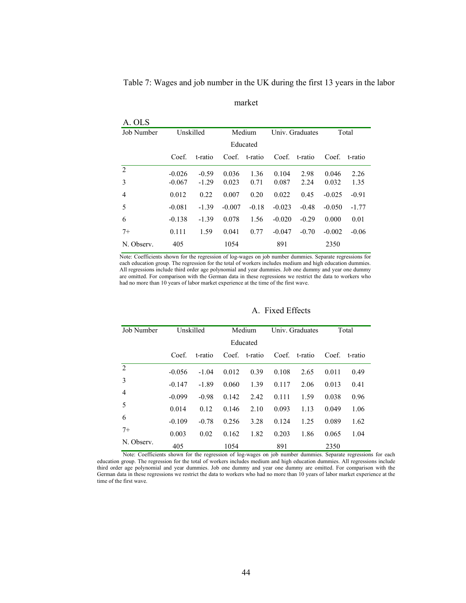Table 7: Wages and job number in the UK during the first 13 years in the labor

 $\overline{A}$   $\overline{O}$ 

| A. ULS     |           |         |          |         |                 |         |          |         |
|------------|-----------|---------|----------|---------|-----------------|---------|----------|---------|
| Job Number | Unskilled |         | Medium   |         | Univ. Graduates |         | Total    |         |
|            |           |         | Educated |         |                 |         |          |         |
|            | Coef.     | t-ratio | Coef.    | t-ratio | Coef.           | t-ratio | Coef.    | t-ratio |
| 2          | $-0.026$  | $-0.59$ | 0.036    | 1.36    | 0.104           | 2.98    | 0.046    | 2.26    |
| 3          | $-0.067$  | $-1.29$ | 0.023    | 0.71    | 0.087           | 2.24    | 0.032    | 1.35    |
| 4          | 0.012     | 0.22    | 0.007    | 0.20    | 0.022           | 0.45    | $-0.025$ | $-0.91$ |
| 5          | $-0.081$  | $-1.39$ | $-0.007$ | $-0.18$ | $-0.023$        | $-0.48$ | $-0.050$ | $-1.77$ |
| 6          | $-0.138$  | $-1.39$ | 0.078    | 1.56    | $-0.020$        | $-0.29$ | 0.000    | 0.01    |
| $7+$       | 0.111     | 1.59    | 0.041    | 0.77    | $-0.047$        | $-0.70$ | $-0.002$ | $-0.06$ |
| N. Observ. | 405       |         | 1054     |         | 891             |         | 2350     |         |

Note: Coefficients shown for the regression of log-wages on job number dummies. Separate regressions for each education group. The regression for the total of workers includes medium and high education dummies. All regressions include third order age polynomial and year dummies. Job one dummy and year one dummy are omitted. For comparison with the German data in these regressions we restrict the data to workers who had no more than 10 years of labor market experience at the time of the first wave.

| Job Number     | Unskilled |         | Medium |          | Univ. Graduates |         | Total |         |
|----------------|-----------|---------|--------|----------|-----------------|---------|-------|---------|
|                |           |         |        | Educated |                 |         |       |         |
|                | Coef.     | t-ratio | Coef   | t-ratio  | Coef.           | t-ratio | Coef. | t-ratio |
| $\overline{2}$ | $-0.056$  | $-1.04$ | 0.012  | 0.39     | 0.108           | 2.65    | 0.011 | 0.49    |
| 3              | $-0.147$  | $-1.89$ | 0.060  | 1.39     | 0.117           | 2.06    | 0.013 | 0.41    |
| 4              | $-0.099$  | $-0.98$ | 0.142  | 2.42     | 0.111           | 1.59    | 0.038 | 0.96    |
| 5              | 0.014     | 0.12    | 0.146  | 2.10     | 0.093           | 1.13    | 0.049 | 1.06    |
| 6              | $-0.109$  | $-0.78$ | 0.256  | 3.28     | 0.124           | 1.25    | 0.089 | 1.62    |
| $7+$           | 0.003     | 0.02    | 0.162  | 1.82     | 0.203           | 1.86    | 0.065 | 1.04    |
| N. Observ.     | 405       |         | 1054   |          | 891             |         | 2350  |         |

# A. Fixed Effects

Note: Coefficients shown for the regression of log-wages on job number dummies. Separate regressions for each education group. The regression for the total of workers includes medium and high education dummies. All regressions include third order age polynomial and year dummies. Job one dummy and year one dummy are omitted. For comparison with the German data in these regressions we restrict the data to workers who had no more than 10 years of labor market experience at the time of the first wave.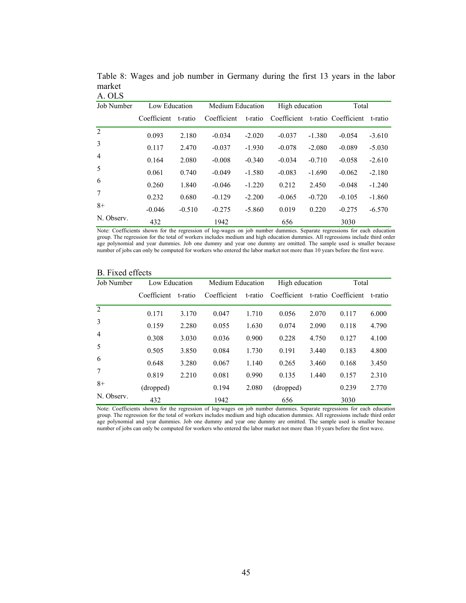| Job Number     | Low Education |          | Medium Education |          | High education |          | Total               |          |
|----------------|---------------|----------|------------------|----------|----------------|----------|---------------------|----------|
|                | Coefficient   | t-ratio  | Coefficient      | t-ratio  | Coefficient    |          | t-ratio Coefficient | t-ratio  |
| 2              | 0.093         | 2.180    | $-0.034$         | $-2.020$ | $-0.037$       | $-1.380$ | $-0.054$            | $-3.610$ |
| 3              | 0.117         | 2.470    | $-0.037$         | $-1.930$ | $-0.078$       | $-2.080$ | $-0.089$            | $-5.030$ |
| $\overline{4}$ | 0.164         | 2.080    | $-0.008$         | $-0.340$ | $-0.034$       | $-0.710$ | $-0.058$            | $-2.610$ |
| 5              | 0.061         | 0.740    | $-0.049$         | $-1.580$ | $-0.083$       | $-1.690$ | $-0.062$            | $-2.180$ |
| 6              | 0.260         | 1.840    | $-0.046$         | $-1.220$ | 0.212          | 2.450    | $-0.048$            | $-1.240$ |
| 7              | 0.232         | 0.680    | $-0.129$         | $-2.200$ | $-0.065$       | $-0.720$ | $-0.105$            | $-1.860$ |
| $8+$           | $-0.046$      | $-0.510$ | $-0.275$         | $-5.860$ | 0.019          | 0.220    | $-0.275$            | $-6.570$ |
| N. Observ.     | 432           |          | 1942             |          | 656            |          | 3030                |          |

Table 8: Wages and job number in Germany during the first 13 years in the labor market A. OLS

Note: Coefficients shown for the regression of log-wages on job number dummies. Separate regressions for each education group. The regression for the total of workers includes medium and high education dummies. All regressions include third order age polynomial and year dummies. Job one dummy and year one dummy are omitted. The sample used is smaller because number of jobs can only be computed for workers who entered the labor market not more than 10 years before the first wave.

| Job Number     | Low Education |         | Medium Education |         | High education |       | Total               |         |
|----------------|---------------|---------|------------------|---------|----------------|-------|---------------------|---------|
|                | Coefficient   | t-ratio | Coefficient      | t-ratio | Coefficient    |       | t-ratio Coefficient | t-ratio |
| $\mathfrak{D}$ | 0.171         | 3.170   | 0.047            | 1.710   | 0.056          | 2.070 | 0.117               | 6.000   |
| 3              | 0.159         | 2.280   | 0.055            | 1.630   | 0.074          | 2.090 | 0.118               | 4.790   |
| $\overline{4}$ | 0.308         | 3.030   | 0.036            | 0.900   | 0.228          | 4.750 | 0.127               | 4.100   |
| 5              | 0.505         | 3.850   | 0.084            | 1.730   | 0.191          | 3.440 | 0.183               | 4.800   |
| 6              | 0.648         | 3.280   | 0.067            | 1.140   | 0.265          | 3.460 | 0.168               | 3.450   |
| 7              | 0.819         | 2.210   | 0.081            | 0.990   | 0.135          | 1.440 | 0.157               | 2.310   |
| $8+$           | (dropped)     |         | 0.194            | 2.080   | (dropped)      |       | 0.239               | 2.770   |
| N. Observ.     | 432           |         | 1942             |         | 656            |       | 3030                |         |

# B. Fixed effects

Note: Coefficients shown for the regression of log-wages on job number dummies. Separate regressions for each education group. The regression for the total of workers includes medium and high education dummies. All regressions include third order age polynomial and year dummies. Job one dummy and year one dummy are omitted. The sample used is smaller because number of jobs can only be computed for workers who entered the labor market not more than 10 years before the first wave.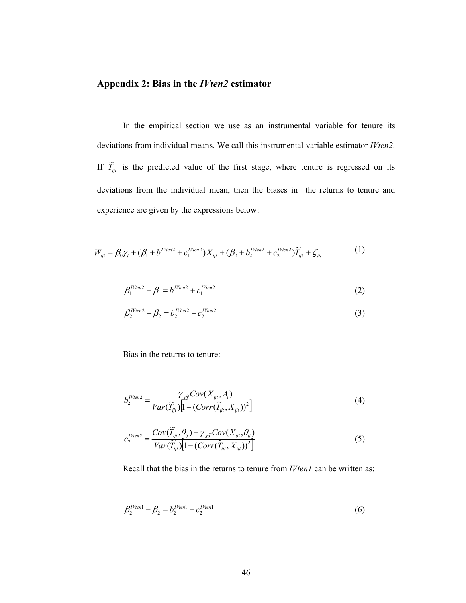# **Appendix 2: Bias in the** *IVten2* **estimator**

In the empirical section we use as an instrumental variable for tenure its deviations from individual means. We call this instrumental variable estimator *IVten2*. If  $\widetilde{T}_{ijt}$  is the predicted value of the first stage, where tenure is regressed on its deviations from the individual mean, then the biases in the returns to tenure and experience are given by the expressions below:

$$
W_{ijt} = \beta_0 \gamma_t + (\beta_1 + b_1^{I V ten2} + c_1^{I V ten2}) X_{ijt} + (\beta_2 + b_2^{I V ten2} + c_2^{I V ten2}) \widetilde{T}_{ijt} + \zeta_{ijt}
$$
 (1)

$$
\beta_1^{IVien2} - \beta_1 = b_1^{IVien2} + c_1^{IVien2}
$$
 (2)

$$
\beta_2^{I V ten 2} - \beta_2 = b_2^{I V ten 2} + c_2^{I V ten 2} \tag{3}
$$

Bias in the returns to tenure:

$$
b_2^{I\text{Yten2}} = \frac{-\gamma_{\chi\tilde{T}}\text{Cov}(X_{ijt}, A_i)}{\text{Var}(\tilde{T}_{ijt})\left[1 - (\text{Corr}(\tilde{T}_{ijt}, X_{ijt}))^2\right]}
$$
(4)

$$
c_2^{I V ten2} = \frac{Cov(\widetilde{T}_{ij}, \theta_{ij}) - \gamma_{\chi \widetilde{T}} Cov(X_{ij}, \theta_{ij})}{Var(\widetilde{T}_{ijt}) \left[1 - (Corr(\widetilde{T}_{ijt}, X_{ijt}))^2\right]}
$$
(5)

Recall that the bias in the returns to tenure from *IVten1* can be written as:

$$
\beta_2^{I V ten1} - \beta_2 = b_2^{I V ten1} + c_2^{I V ten1} \tag{6}
$$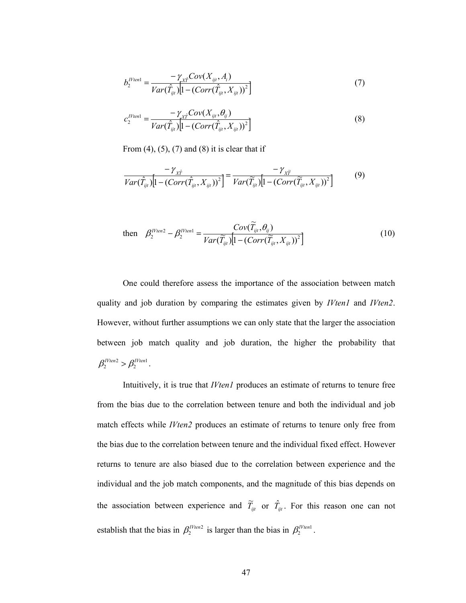$$
b_2^{IVien1} = \frac{-\gamma_{x\hat{r}}Cov(X_{ijt}, A_i)}{Var(\hat{T}_{ijt})[1 - (Corr(\hat{T}_{ijt}, X_{ijt}))^2]}
$$
(7)

$$
c_2^{IVten1} = \frac{-\gamma_{\chi_i^*}Cov(X_{ijt}, \theta_{ij})}{Var(\hat{T}_{ijt})[1 - (Corr(\hat{T}_{ijt}, X_{ijt}))^2]}
$$
(8)

From  $(4)$ ,  $(5)$ ,  $(7)$  and  $(8)$  it is clear that if

$$
\frac{-\gamma_{\hat{x}\hat{T}}}{Var(\hat{T}_{ijt})}\left[1 - (Corr(\hat{T}_{ijt}, X_{ijt}))^2\right] = \frac{-\gamma_{\hat{x}\hat{T}}}{Var(\widetilde{T}_{ijt})}\left[1 - (Corr(\widetilde{T}_{ijt}, X_{ijt}))^2\right] \tag{9}
$$

then 
$$
\beta_2^{IVten2} - \beta_2^{IVten1} = \frac{Cov(\widetilde{T}_{ijt}, \theta_{ij})}{Var(\widetilde{T}_{ijt}) \left[1 - (Corr(\widetilde{T}_{ijt}, X_{ijt}))^2\right]}
$$
(10)

One could therefore assess the importance of the association between match quality and job duration by comparing the estimates given by *IVten1* and *IVten2*. However, without further assumptions we can only state that the larger the association between job match quality and job duration, the higher the probability that  $\beta_2^{IVten2} > \beta_2^{IVten1}$ .

Intuitively, it is true that *IVten1* produces an estimate of returns to tenure free from the bias due to the correlation between tenure and both the individual and job match effects while *IVten2* produces an estimate of returns to tenure only free from the bias due to the correlation between tenure and the individual fixed effect. However returns to tenure are also biased due to the correlation between experience and the individual and the job match components, and the magnitude of this bias depends on the association between experience and  $\tilde{T}_{ijt}$  or  $\hat{T}_{ijt}$ . For this reason one can not establish that the bias in  $\beta_2^{I V ten 2}$  is larger than the bias in  $\beta_2^{I V ten 1}$ .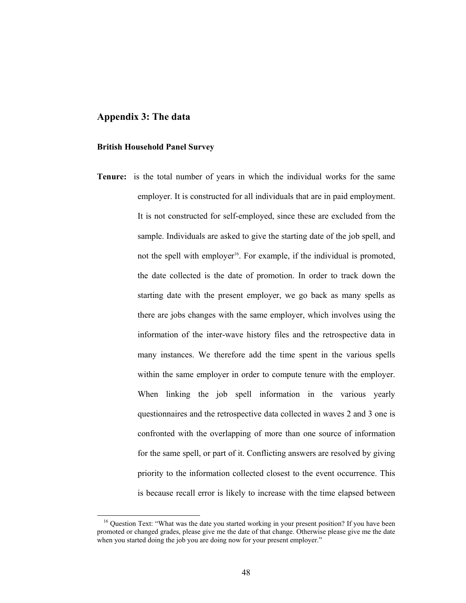# **Appendix 3: The data**

## **British Household Panel Survey**

**Tenure:** is the total number of years in which the individual works for the same employer. It is constructed for all individuals that are in paid employment. It is not constructed for self-employed, since these are excluded from the sample. Individuals are asked to give the starting date of the job spell, and not the spell with employer<sup>16</sup>. For example, if the individual is promoted, the date collected is the date of promotion. In order to track down the starting date with the present employer, we go back as many spells as there are jobs changes with the same employer, which involves using the information of the inter-wave history files and the retrospective data in many instances. We therefore add the time spent in the various spells within the same employer in order to compute tenure with the employer. When linking the job spell information in the various yearly questionnaires and the retrospective data collected in waves 2 and 3 one is confronted with the overlapping of more than one source of information for the same spell, or part of it. Conflicting answers are resolved by giving priority to the information collected closest to the event occurrence. This is because recall error is likely to increase with the time elapsed between

<sup>&</sup>lt;sup>16</sup> Question Text: "What was the date you started working in your present position? If you have been promoted or changed grades, please give me the date of that change. Otherwise please give me the date when you started doing the job you are doing now for your present employer."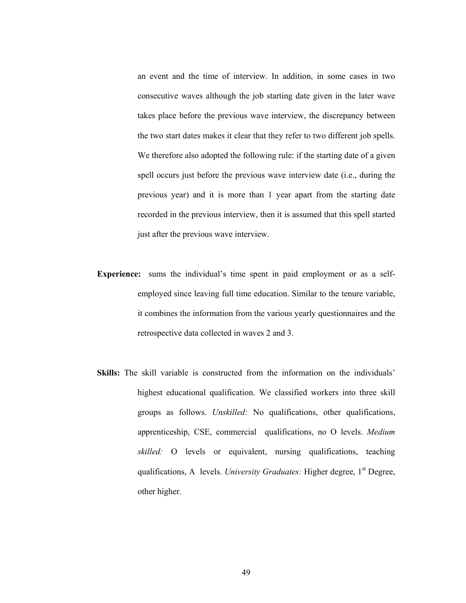an event and the time of interview. In addition, in some cases in two consecutive waves although the job starting date given in the later wave takes place before the previous wave interview, the discrepancy between the two start dates makes it clear that they refer to two different job spells. We therefore also adopted the following rule: if the starting date of a given spell occurs just before the previous wave interview date (i.e., during the previous year) and it is more than 1 year apart from the starting date recorded in the previous interview, then it is assumed that this spell started just after the previous wave interview.

- **Experience:** sums the individual's time spent in paid employment or as a selfemployed since leaving full time education. Similar to the tenure variable, it combines the information from the various yearly questionnaires and the retrospective data collected in waves 2 and 3.
- **Skills:** The skill variable is constructed from the information on the individuals' highest educational qualification. We classified workers into three skill groups as follows. *Unskilled:* No qualifications, other qualifications, apprenticeship, CSE, commercial qualifications, no O levels. *Medium skilled:* O levels or equivalent, nursing qualifications, teaching qualifications, A levels. *University Graduates:* Higher degree, 1<sup>st</sup> Degree, other higher.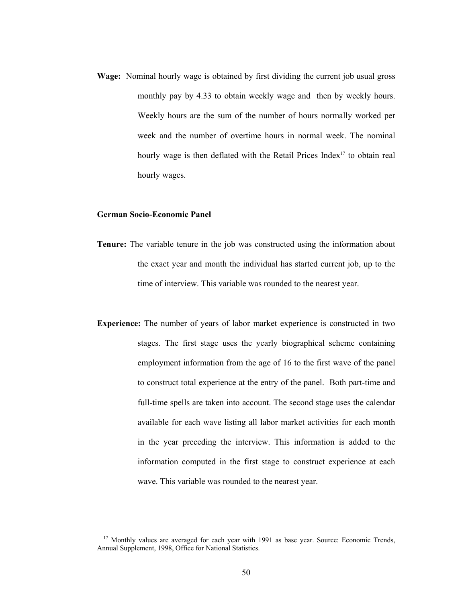**Wage:** Nominal hourly wage is obtained by first dividing the current job usual gross monthly pay by 4.33 to obtain weekly wage and then by weekly hours. Weekly hours are the sum of the number of hours normally worked per week and the number of overtime hours in normal week. The nominal hourly wage is then deflated with the Retail Prices Index<sup>17</sup> to obtain real hourly wages.

## **German Socio-Economic Panel**

- **Tenure:** The variable tenure in the job was constructed using the information about the exact year and month the individual has started current job, up to the time of interview. This variable was rounded to the nearest year.
- **Experience:** The number of years of labor market experience is constructed in two stages. The first stage uses the yearly biographical scheme containing employment information from the age of 16 to the first wave of the panel to construct total experience at the entry of the panel. Both part-time and full-time spells are taken into account. The second stage uses the calendar available for each wave listing all labor market activities for each month in the year preceding the interview. This information is added to the information computed in the first stage to construct experience at each wave. This variable was rounded to the nearest year.

<sup>&</sup>lt;sup>17</sup> Monthly values are averaged for each year with 1991 as base year. Source: Economic Trends, Annual Supplement, 1998, Office for National Statistics.